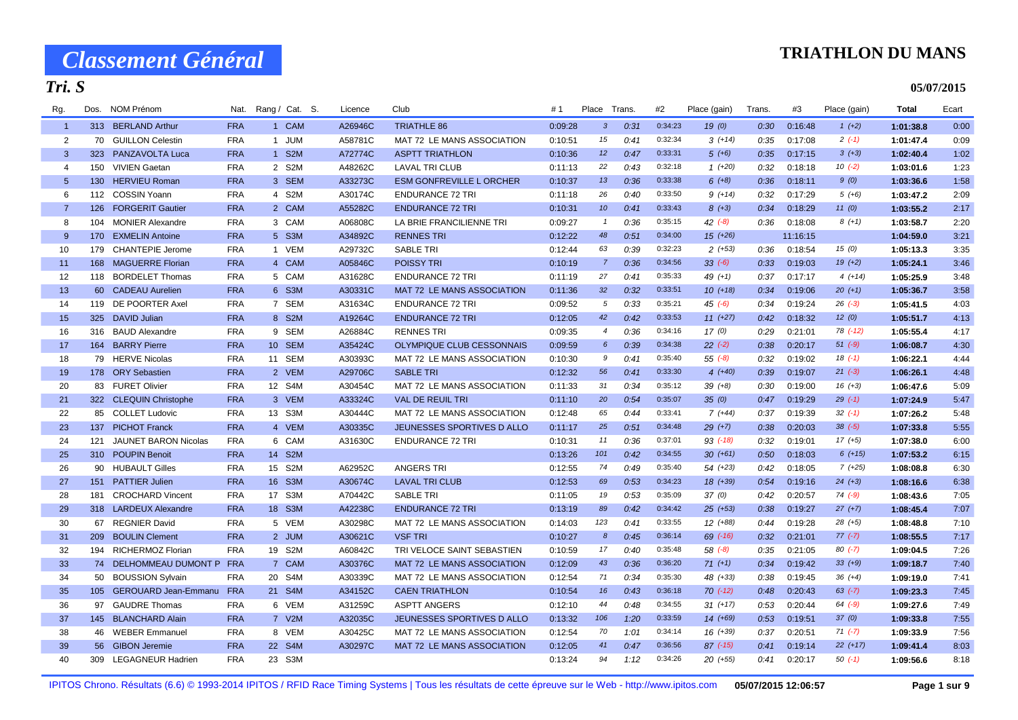#### **TRIATHLON DU MANS**

| Rg.            |     | Dos. NOM Prénom              |            | Nat. Rang / Cat. S. | Licence | Club                              | #1      | Place Trans.          |      | #2      | Place (gain) | Trans. | #3       | Place (gain) | Total     | Ecart |
|----------------|-----|------------------------------|------------|---------------------|---------|-----------------------------------|---------|-----------------------|------|---------|--------------|--------|----------|--------------|-----------|-------|
| $\overline{1}$ |     | 313 BERLAND Arthur           | <b>FRA</b> | 1 CAM               | A26946C | <b>TRIATHLE 86</b>                | 0:09:28 | $\mathbf{3}$          | 0:31 | 0:34:23 | 19(0)        | 0:30   | 0:16:48  | $1 (+2)$     | 1:01:38.8 | 0:00  |
| 2              |     | 70 GUILLON Celestin          | <b>FRA</b> | 1 JUM               | A58781C | MAT 72 LE MANS ASSOCIATION        | 0:10:51 | 15                    | 0:41 | 0:32:34 | $3(+14)$     | 0:35   | 0:17:08  | $2(-1)$      | 1:01:47.4 | 0:09  |
| 3              |     | 323 PANZAVOLTA Luca          | <b>FRA</b> | 1 S2M               | A72774C | <b>ASPTT TRIATHLON</b>            | 0:10:36 | 12                    | 0:47 | 0:33:31 | $5(+6)$      | 0:35   | 0:17:15  | $3(+3)$      | 1:02:40.4 | 1:02  |
| $\overline{4}$ |     | 150 VIVIEN Gaetan            | <b>FRA</b> | 2 S2M               | A48262C | <b>LAVAL TRI CLUB</b>             | 0:11:13 | 22                    | 0:43 | 0:32:18 | $1(+20)$     | 0:32   | 0:18:18  | $10( -2)$    | 1:03:01.6 | 1:23  |
| 5 <sup>5</sup> |     | 130 HERVIEU Roman            | <b>FRA</b> | 3 SEM               | A33273C | <b>ESM GONFREVILLE L ORCHER</b>   | 0:10:37 | 13                    | 0:36 | 0:33:38 | $6 (+8)$     | 0:36   | 0:18:11  | 9(0)         | 1:03:36.6 | 1:58  |
| 6              | 112 | <b>COSSIN Yoann</b>          | <b>FRA</b> | 4 S2M               | A30174C | <b>ENDURANCE 72 TRI</b>           | 0:11:18 | 26                    | 0:40 | 0:33:50 | $9 (+14)$    | 0:32   | 0:17:29  | $5(+6)$      | 1:03:47.2 | 2:09  |
| $\overline{7}$ |     | 126 FORGERIT Gautier         | <b>FRA</b> | 2 CAM               | A55282C | <b>ENDURANCE 72 TRI</b>           | 0:10:31 | 10 <sup>°</sup>       | 0:41 | 0:33:43 | $8 (+3)$     | 0:34   | 0:18:29  | 11(0)        | 1:03:55.2 | 2:17  |
| 8              | 104 | <b>MONIER Alexandre</b>      | <b>FRA</b> | 3 CAM               | A06808C | LA BRIE FRANCILIENNE TRI          | 0:09:27 | $\mathbf{1}$          | 0:36 | 0:35:15 | $42$ $(-8)$  | 0:36   | 0:18:08  | $8(+1)$      | 1:03:58.7 | 2:20  |
| 9              | 170 | <b>EXMELIN Antoine</b>       | <b>FRA</b> | 5 S3M               | A34892C | <b>RENNES TRI</b>                 | 0:12:22 | 48                    | 0:51 | 0:34:00 | $15 (+26)$   |        | 11:16:15 |              | 1:04:59.0 | 3:21  |
| 10             | 179 | <b>CHANTEPIE Jerome</b>      | <b>FRA</b> | 1 VEM               | A29732C | <b>SABLE TRI</b>                  | 0:12:44 | 63                    | 0:39 | 0:32:23 | $2(+53)$     | 0:36   | 0:18:54  | 15(0)        | 1:05:13.3 | 3:35  |
| 11             | 168 | <b>MAGUERRE Florian</b>      | <b>FRA</b> | 4 CAM               | A05846C | POISSY TRI                        | 0:10:19 | $\overline{7}$        | 0:36 | 0:34:56 | $33( -6)$    | 0:33   | 0:19:03  | $19 (+2)$    | 1:05:24.1 | 3:46  |
| 12             |     | 118 BORDELET Thomas          | <b>FRA</b> | 5 CAM               | A31628C | <b>ENDURANCE 72 TRI</b>           | 0:11:19 | 27                    | 0:41 | 0:35:33 | $49 (+1)$    | 0:37   | 0:17:17  | $4(+14)$     | 1:05:25.9 | 3:48  |
| 13             |     | 60 CADEAU Aurelien           | <b>FRA</b> | 6 S3M               | A30331C | MAT 72 LE MANS ASSOCIATION        | 0:11:36 | 32                    | 0:32 | 0:33:51 | $10(+18)$    | 0:34   | 0:19:06  | $20(+1)$     | 1:05:36.7 | 3:58  |
| 14             |     | 119 DE POORTER Axel          | <b>FRA</b> | 7 SEM               | A31634C | <b>ENDURANCE 72 TRI</b>           | 0:09:52 | $\sqrt{5}$            | 0:33 | 0:35:21 | $45$ (-6)    | 0:34   | 0:19:24  | $26(-3)$     | 1:05:41.5 | 4:03  |
| 15             |     | 325 DAVID Julian             | <b>FRA</b> | 8 S2M               | A19264C | <b>ENDURANCE 72 TRI</b>           | 0:12:05 | 42                    | 0:42 | 0:33:53 | $11 (+27)$   | 0:42   | 0:18:32  | 12(0)        | 1:05:51.7 | 4:13  |
| 16             |     | 316 BAUD Alexandre           | <b>FRA</b> | 9 SEM               | A26884C | <b>RENNES TRI</b>                 | 0:09:35 | $\overline{4}$        | 0:36 | 0:34:16 | 17(0)        | 0:29   | 0:21:01  | 78 (-12)     | 1:05:55.4 | 4:17  |
| 17             |     | 164 BARRY Pierre             | <b>FRA</b> | 10 SEM              | A35424C | OLYMPIQUE CLUB CESSONNAIS         | 0:09:59 | $\epsilon$            | 0:39 | 0:34:38 | $22 (-2)$    | 0:38   | 0:20:17  | $51 (-9)$    | 1:06:08.7 | 4:30  |
| 18             |     | 79 HERVE Nicolas             | <b>FRA</b> | 11 SEM              | A30393C | MAT 72 LE MANS ASSOCIATION        | 0:10:30 | 9                     | 0:41 | 0:35:40 | $55( -8)$    | 0:32   | 0:19:02  | $18(-1)$     | 1:06:22.1 | 4:44  |
| 19             |     | 178 ORY Sebastien            | <b>FRA</b> | 2 VEM               | A29706C | <b>SABLE TRI</b>                  | 0:12:32 | 56                    | 0:41 | 0:33:30 | $4(+40)$     | 0:39   | 0:19:07  | $21 (-3)$    | 1:06:26.1 | 4:48  |
| 20             |     | 83 FURET Olivier             | <b>FRA</b> | 12 S4M              | A30454C | MAT 72 LE MANS ASSOCIATION        | 0:11:33 | 31                    | 0:34 | 0:35:12 | $39 (+8)$    | 0:30   | 0:19:00  | $16 (+3)$    | 1:06:47.6 | 5:09  |
| 21             |     | 322 CLEQUIN Christophe       | <b>FRA</b> | 3 VEM               | A33324C | <b>VAL DE REUIL TRI</b>           | 0:11:10 | 20                    | 0:54 | 0:35:07 | 35(0)        | 0:47   | 0:19:29  | $29(-1)$     | 1:07:24.9 | 5:47  |
| 22             |     | 85 COLLET Ludovic            | <b>FRA</b> | 13 S3M              | A30444C | MAT 72 LE MANS ASSOCIATION        | 0:12:48 | 65                    | 0:44 | 0:33:41 | $7(+44)$     | 0:37   | 0:19:39  | $32 (-1)$    | 1:07:26.2 | 5:48  |
| 23             |     | 137 PICHOT Franck            | <b>FRA</b> | 4 VEM               | A30335C | JEUNESSES SPORTIVES D ALLO        | 0:11:17 | 25                    | 0:51 | 0:34:48 | $29(+7)$     | 0:38   | 0:20:03  | $38(-5)$     | 1:07:33.8 | 5:55  |
| 24             | 121 | <b>JAUNET BARON Nicolas</b>  | <b>FRA</b> | 6 CAM               | A31630C | <b>ENDURANCE 72 TRI</b>           | 0:10:31 | 11                    | 0:36 | 0:37:01 | $93$ $(-18)$ | 0:32   | 0:19:01  | $17(+5)$     | 1:07:38.0 | 6:00  |
| 25             |     | 310 POUPIN Benoit            | <b>FRA</b> | 14 S2M              |         |                                   | 0:13:26 | 101                   | 0:42 | 0:34:55 | $30 (+61)$   | 0:50   | 0:18:03  | $6(+15)$     | 1:07:53.2 | 6:15  |
| 26             |     | 90 HUBAULT Gilles            | <b>FRA</b> | 15 S2M              | A62952C | <b>ANGERS TRI</b>                 | 0:12:55 | 74                    | 0:49 | 0:35:40 | 54 (+23)     | 0:42   | 0:18:05  | $7(+25)$     | 1:08:08.8 | 6:30  |
| 27             |     | 151 PATTIER Julien           | <b>FRA</b> | 16 S3M              | A30674C | <b>LAVAL TRI CLUB</b>             | 0:12:53 | 69                    | 0:53 | 0:34:23 | 18 (+39)     | 0:54   | 0:19:16  | $24 (+3)$    | 1:08:16.6 | 6:38  |
| 28             | 181 | <b>CROCHARD Vincent</b>      | <b>FRA</b> | 17 S3M              | A70442C | <b>SABLE TRI</b>                  | 0:11:05 | 19                    | 0:53 | 0:35:09 | 37(0)        | 0:42   | 0:20:57  | $74 (-9)$    | 1:08:43.6 | 7:05  |
| 29             |     | 318 LARDEUX Alexandre        | <b>FRA</b> | 18 S3M              | A42238C | <b>ENDURANCE 72 TRI</b>           | 0:13:19 | 89                    | 0:42 | 0:34:42 | $25(+53)$    | 0:38   | 0:19:27  | $27 (+7)$    | 1:08:45.4 | 7:07  |
| 30             | 67  | <b>REGNIER David</b>         | <b>FRA</b> | 5 VEM               | A30298C | MAT 72 LE MANS ASSOCIATION        | 0:14:03 | 123                   | 0:41 | 0:33:55 | 12 (+88)     | 0:44   | 0:19:28  | $28(+5)$     | 1:08:48.8 | 7:10  |
| 31             | 209 | <b>BOULIN Clement</b>        | <b>FRA</b> | 2 JUM               | A30621C | <b>VSF TRI</b>                    | 0:10:27 | $\boldsymbol{\delta}$ | 0:45 | 0:36:14 | 69 (-16)     | 0:32   | 0:21:01  | $77(-7)$     | 1:08:55.5 | 7:17  |
| 32             | 194 | <b>RICHERMOZ Florian</b>     | <b>FRA</b> | 19 S2M              | A60842C | TRI VELOCE SAINT SEBASTIEN        | 0:10:59 | 17                    | 0:40 | 0:35:48 | $58 (+8)$    | 0:35   | 0:21:05  | $80 (-7)$    | 1:09:04.5 | 7:26  |
| 33             |     | 74 DELHOMMEAU DUMONT P FRA   |            | 7 CAM               | A30376C | <b>MAT 72 LE MANS ASSOCIATION</b> | 0:12:09 | 43                    | 0:36 | 0:36:20 | $71 (+1)$    | 0:34   | 0:19:42  | $33 (+9)$    | 1:09:18.7 | 7:40  |
| 34             |     | 50 BOUSSION Sylvain          | <b>FRA</b> | 20 S4M              | A30339C | MAT 72 LE MANS ASSOCIATION        | 0:12:54 | 71                    | 0:34 | 0:35:30 | 48 (+33)     | 0:38   | 0:19:45  | $36 (+4)$    | 1:09:19.0 | 7:41  |
| 35             |     | 105 GEROUARD Jean-Emmanu FRA |            | 21 S4M              | A34152C | <b>CAEN TRIATHLON</b>             | 0:10:54 | 16                    | 0:43 | 0:36:18 | $70$ $(-12)$ | 0:48   | 0:20:43  | $63$ $(-7)$  | 1:09:23.3 | 7:45  |
| 36             | 97  | <b>GAUDRE Thomas</b>         | <b>FRA</b> | 6 VEM               | A31259C | <b>ASPTT ANGERS</b>               | 0:12:10 | 44                    | 0:48 | 0:34:55 | $31 (+17)$   | 0:53   | 0:20:44  | $64$ $(-9)$  | 1:09:27.6 | 7:49  |
| 37             |     | 145 BLANCHARD Alain          | <b>FRA</b> | 7 V2M               | A32035C | JEUNESSES SPORTIVES D ALLO        | 0:13:32 | 106                   | 1:20 | 0:33:59 | $14(+69)$    | 0:53   | 0:19:51  | 37(0)        | 1:09:33.8 | 7:55  |
| 38             |     | 46 WEBER Emmanuel            | <b>FRA</b> | 8 VEM               | A30425C | MAT 72 LE MANS ASSOCIATION        | 0:12:54 | 70                    | 1:01 | 0:34:14 | $16(+39)$    | 0:37   | 0:20:51  | $71(-7)$     | 1:09:33.9 | 7:56  |
| 39             | 56  | <b>GIBON Jeremie</b>         | <b>FRA</b> | 22 S4M              | A30297C | MAT 72 LE MANS ASSOCIATION        | 0:12:05 | 41                    | 0:47 | 0:36:56 | $87$ $(-15)$ | 0:41   | 0:19:14  | $22(+17)$    | 1:09:41.4 | 8:03  |
| 40             | 309 | <b>LEGAGNEUR Hadrien</b>     | <b>FRA</b> | 23 S3M              |         |                                   | 0:13:24 | 94                    | 1:12 | 0:34:26 | $20(+55)$    | 0:41   | 0:20:17  | $50( -1)$    | 1:09:56.6 | 8:18  |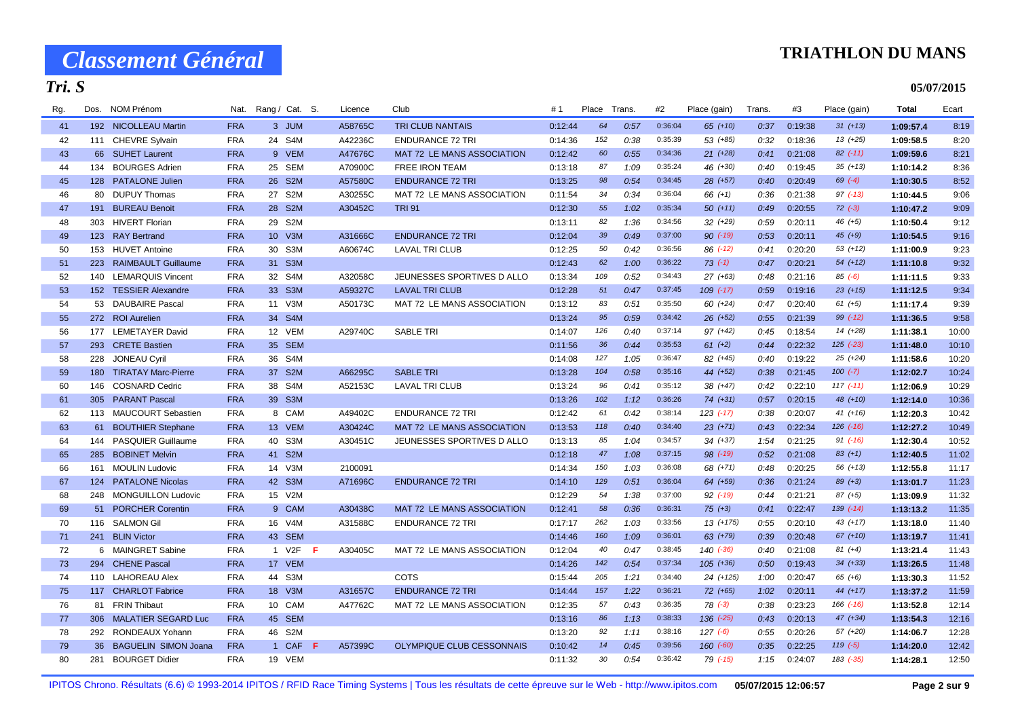#### **TRIATHLON DU MANS**

|    |       | 05/07/2015 |
|----|-------|------------|
| n١ | Total | Ecart      |

| Rg. | Dos. | NOM Prénom                  | Nat.       | Rang / Cat. S. | Licence | Club                              | #1      | Place | Trans. | #2      | Place (gain)  | Trans. | #3      | Place (gain) | Total     | Ecart |
|-----|------|-----------------------------|------------|----------------|---------|-----------------------------------|---------|-------|--------|---------|---------------|--------|---------|--------------|-----------|-------|
| 41  |      | 192 NICOLLEAU Martin        | <b>FRA</b> | 3 JUM          | A58765C | TRI CLUB NANTAIS                  | 0:12:44 | 64    | 0:57   | 0:36:04 | $65 (+10)$    | 0:37   | 0:19:38 | $31 (+13)$   | 1:09:57.4 | 8:19  |
| 42  |      | 111 CHEVRE Sylvain          | <b>FRA</b> | 24 S4M         | A42236C | <b>ENDURANCE 72 TRI</b>           | 0:14:36 | 152   | 0:38   | 0:35:39 | 53 (+85)      | 0:32   | 0:18:36 | 13 (+25)     | 1:09:58.5 | 8:20  |
| 43  |      | 66 SUHET Laurent            | <b>FRA</b> | 9 VEM          | A47676C | <b>MAT 72 LE MANS ASSOCIATION</b> | 0:12:42 | 60    | 0:55   | 0:34:36 | $21 (+28)$    | 0:41   | 0:21:08 | $82$ (-11)   | 1:09:59.6 | 8:21  |
| 44  | 134  | <b>BOURGES Adrien</b>       | <b>FRA</b> | 25 SEM         | A70900C | <b>FREE IRON TEAM</b>             | 0:13:18 | 87    | 1:09   | 0:35:24 | $46 (+30)$    | 0:40   | 0:19:45 | $35(+13)$    | 1:10:14.2 | 8:36  |
| 45  |      | 128 PATALONE Julien         | <b>FRA</b> | 26 S2M         | A57580C | <b>ENDURANCE 72 TRI</b>           | 0:13:25 | 98    | 0:54   | 0:34:45 | $28(+57)$     | 0:40   | 0:20:49 | $69(-4)$     | 1:10:30.5 | 8:52  |
| 46  |      | 80 DUPUY Thomas             | <b>FRA</b> | 27 S2M         | A30255C | MAT 72 LE MANS ASSOCIATION        | 0:11:54 | 34    | 0:34   | 0:36:04 | $66 (+1)$     | 0:36   | 0:21:38 | $97$ $(-13)$ | 1:10:44.5 | 9:06  |
| 47  | 191  | <b>BUREAU Benoit</b>        | <b>FRA</b> | 28 S2M         | A30452C | <b>TRI 91</b>                     | 0:12:30 | 55    | 1:02   | 0:35:34 | $50(+11)$     | 0:49   | 0:20:55 | $72 (-3)$    | 1:10:47.2 | 9:09  |
| 48  |      | 303 HIVERT Florian          | <b>FRA</b> | 29 S2M         |         |                                   | 0:13:11 | 82    | 1:36   | 0:34:56 | 32 (+29)      | 0:59   | 0:20:11 | 46 (+5)      | 1:10:50.4 | 9:12  |
| 49  |      | 123 RAY Bertrand            | <b>FRA</b> | 10 V3M         | A31666C | <b>ENDURANCE 72 TRI</b>           | 0:12:04 | 39    | 0:49   | 0:37:00 | $90$ (-19)    | 0:53   | 0:20:11 | $45 (+9)$    | 1:10:54.5 | 9:16  |
| 50  |      | 153 HUVET Antoine           | <b>FRA</b> | 30 S3M         | A60674C | <b>LAVAL TRI CLUB</b>             | 0:12:25 | 50    | 0:42   | 0:36:56 | $86$ $(-12)$  | 0:41   | 0:20:20 | $53(+12)$    | 1:11:00.9 | 9:23  |
| 51  |      | 223 RAIMBAULT Guillaume     | <b>FRA</b> | 31 S3M         |         |                                   | 0:12:43 | 62    | 1:00   | 0:36:22 | $73$ $(-1)$   | 0:47   | 0:20:21 | $54(+12)$    | 1:11:10.8 | 9:32  |
| 52  |      | 140 LEMARQUIS Vincent       | <b>FRA</b> | 32 S4M         | A32058C | JEUNESSES SPORTIVES D ALLO        | 0:13:34 | 109   | 0:52   | 0:34:43 | $27 (+63)$    | 0:48   | 0:21:16 | $85(-6)$     | 1:11:11.5 | 9:33  |
| 53  |      | 152 TESSIER Alexandre       | <b>FRA</b> | 33 S3M         | A59327C | <b>LAVAL TRI CLUB</b>             | 0:12:28 | 51    | 0:47   | 0:37:45 | $109$ $(-17)$ | 0:59   | 0:19:16 | $23 (+15)$   | 1:11:12.5 | 9:34  |
| 54  |      | 53 DAUBAIRE Pascal          | <b>FRA</b> | 11 V3M         | A50173C | MAT 72 LE MANS ASSOCIATION        | 0:13:12 | 83    | 0:51   | 0:35:50 | $60 (+24)$    | 0:47   | 0:20:40 | $61 (+5)$    | 1:11:17.4 | 9:39  |
| 55  |      | 272 ROI Aurelien            | <b>FRA</b> | 34 S4M         |         |                                   | 0:13:24 | 95    | 0:59   | 0:34:42 | $26 (+52)$    | 0:55   | 0:21:39 | 99 (-12)     | 1:11:36.5 | 9:58  |
| 56  |      | 177 LEMETAYER David         | <b>FRA</b> | 12 VEM         | A29740C | <b>SABLE TRI</b>                  | 0:14:07 | 126   | 0:40   | 0:37:14 | $97 (+42)$    | 0:45   | 0:18:54 | $14(+28)$    | 1:11:38.1 | 10:00 |
| 57  |      | 293 CRETE Bastien           | <b>FRA</b> | 35 SEM         |         |                                   | 0:11:56 | 36    | 0:44   | 0:35:53 | $61 (+2)$     | 0:44   | 0:22:32 | 125 (-23)    | 1:11:48.0 | 10:10 |
| 58  | 228  | <b>JONEAU Cyril</b>         | <b>FRA</b> | 36 S4M         |         |                                   | 0:14:08 | 127   | 1:05   | 0:36:47 | 82 (+45)      | 0:40   | 0:19:22 | $25 (+24)$   | 1:11:58.6 | 10:20 |
| 59  |      | 180 TIRATAY Marc-Pierre     | <b>FRA</b> | 37 S2M         | A66295C | <b>SABLE TRI</b>                  | 0:13:28 | 104   | 0:58   | 0:35:16 | 44 (+52)      | 0:38   | 0:21:45 | $100 (-7)$   | 1:12:02.7 | 10:24 |
| 60  |      | 146 COSNARD Cedric          | <b>FRA</b> | 38 S4M         | A52153C | <b>LAVAL TRI CLUB</b>             | 0:13:24 | 96    | 0:41   | 0:35:12 | 38 (+47)      | 0:42   | 0:22:10 | $117(-11)$   | 1:12:06.9 | 10:29 |
| 61  |      | 305 PARANT Pascal           | <b>FRA</b> | 39 S3M         |         |                                   | 0:13:26 | 102   | 1:12   | 0:36:26 | $74(+31)$     | 0:57   | 0:20:15 | 48 (+10)     | 1:12:14.0 | 10:36 |
| 62  |      | 113 MAUCOURT Sebastien      | <b>FRA</b> | 8 CAM          | A49402C | <b>ENDURANCE 72 TRI</b>           | 0:12:42 | 61    | 0:42   | 0:38:14 | $123( -17)$   | 0:38   | 0:20:07 | $41 (+16)$   | 1:12:20.3 | 10:42 |
| 63  |      | 61 BOUTHIER Stephane        | <b>FRA</b> | 13 VEM         | A30424C | MAT 72 LE MANS ASSOCIATION        | 0:13:53 | 118   | 0:40   | 0:34:40 | $23 (+71)$    | 0:43   | 0:22:34 | 126 (-16)    | 1:12:27.2 | 10:49 |
| 64  | 144  | <b>PASQUIER Guillaume</b>   | <b>FRA</b> | 40 S3M         | A30451C | JEUNESSES SPORTIVES D ALLO        | 0:13:13 | 85    | 1:04   | 0:34:57 | $34 (+37)$    | 1:54   | 0:21:25 | $91 (-16)$   | 1:12:30.4 | 10:52 |
| 65  | 285  | <b>BOBINET Melvin</b>       | <b>FRA</b> | 41 S2M         |         |                                   | 0:12:18 | 47    | 1:08   | 0:37:15 | 98 (-19)      | 0:52   | 0:21:08 | $83 (+1)$    | 1:12:40.5 | 11:02 |
| 66  | 161  | <b>MOULIN Ludovic</b>       | <b>FRA</b> | 14 V3M         | 2100091 |                                   | 0:14:34 | 150   | 1:03   | 0:36:08 | 68 (+71)      | 0:48   | 0:20:25 | $56(+13)$    | 1:12:55.8 | 11:17 |
| 67  |      | 124 PATALONE Nicolas        | <b>FRA</b> | 42 S3M         | A71696C | <b>ENDURANCE 72 TRI</b>           | 0:14:10 | 129   | 0:51   | 0:36:04 | 64 (+59)      | 0:36   | 0:21:24 | $89 (+3)$    | 1:13:01.7 | 11:23 |
| 68  |      | 248 MONGUILLON Ludovic      | <b>FRA</b> | 15 V2M         |         |                                   | 0:12:29 | 54    | 1:38   | 0:37:00 | $92$ $(-19)$  | 0:44   | 0:21:21 | $87 (+5)$    | 1:13:09.9 | 11:32 |
| 69  |      | 51 PORCHER Corentin         | <b>FRA</b> | 9 CAM          | A30438C | MAT 72 LE MANS ASSOCIATION        | 0:12:41 | 58    | 0:36   | 0:36:31 | $75 (+3)$     | 0:41   | 0:22:47 | 139 (-14)    | 1:13:13.2 | 11:35 |
| 70  |      | 116 SALMON Gil              | <b>FRA</b> | 16 V4M         | A31588C | <b>ENDURANCE 72 TRI</b>           | 0:17:17 | 262   | 1:03   | 0:33:56 | $13(+175)$    | 0:55   | 0:20:10 | $43(+17)$    | 1:13:18.0 | 11:40 |
| 71  |      | 241 BLIN Victor             | <b>FRA</b> | 43 SEM         |         |                                   | 0:14:46 | 160   | 1:09   | 0:36:01 | $63 (+79)$    | 0:39   | 0:20:48 | $67$ $(+10)$ | 1:13:19.7 | 11:41 |
| 72  |      | 6 MAINGRET Sabine           | <b>FRA</b> | 1 V2F<br>- F   | A30405C | MAT 72 LE MANS ASSOCIATION        | 0:12:04 | 40    | 0:47   | 0:38:45 | $140$ $(-36)$ | 0:40   | 0:21:08 | $81 (+4)$    | 1:13:21.4 | 11:43 |
| 73  |      | 294 CHENE Pascal            | <b>FRA</b> | 17 VEM         |         |                                   | 0:14:26 | 142   | 0:54   | 0:37:34 | $105 (+36)$   | 0:50   | 0:19:43 | $34 (+33)$   | 1:13:26.5 | 11:48 |
| 74  |      | 110 LAHOREAU Alex           | <b>FRA</b> | 44 S3M         |         | <b>COTS</b>                       | 0:15:44 | 205   | 1:21   | 0:34:40 | 24 (+125)     | 1:00   | 0:20:47 | $65 (+6)$    | 1:13:30.3 | 11:52 |
| 75  |      | 117 CHARLOT Fabrice         | <b>FRA</b> | 18 V3M         | A31657C | <b>ENDURANCE 72 TRI</b>           | 0:14:44 | 157   | 1:22   | 0:36:21 | 72 (+65)      | 1:02   | 0:20:11 | 44 (+17)     | 1:13:37.2 | 11:59 |
| 76  |      | 81 FRIN Thibaut             | <b>FRA</b> | 10 CAM         | A47762C | MAT 72 LE MANS ASSOCIATION        | 0:12:35 | 57    | 0:43   | 0:36:35 | 78 (-3)       | 0:38   | 0:23:23 | 166 (-16)    | 1:13:52.8 | 12:14 |
| 77  |      | 306 MALATIER SEGARD Luc     | <b>FRA</b> | 45 SEM         |         |                                   | 0:13:16 | 86    | 1:13   | 0:38:33 | $136$ $(-25)$ | 0:43   | 0:20:13 | $47 (+34)$   | 1:13:54.3 | 12:16 |
| 78  |      | 292 RONDEAUX Yohann         | <b>FRA</b> | 46 S2M         |         |                                   | 0:13:20 | 92    | 1:11   | 0:38:16 | $127(-6)$     | 0:55   | 0:20:26 | 57 (+20)     | 1:14:06.7 | 12:28 |
| 79  | 36   | <b>BAGUELIN SIMON Joana</b> | <b>FRA</b> | 1 CAF<br>F.    | A57399C | OLYMPIQUE CLUB CESSONNAIS         | 0:10:42 | 14    | 0:45   | 0:39:56 | $160 (-60)$   | 0:35   | 0:22:25 | $119(-5)$    | 1:14:20.0 | 12:42 |
| 80  | 281  | <b>BOURGET Didier</b>       | <b>FRA</b> | 19 VEM         |         |                                   | 0:11:32 | 30    | 0:54   | 0:36:42 | 79 (-15)      | 1:15   | 0:24:07 | 183 (-35)    | 1:14:28.1 | 12:50 |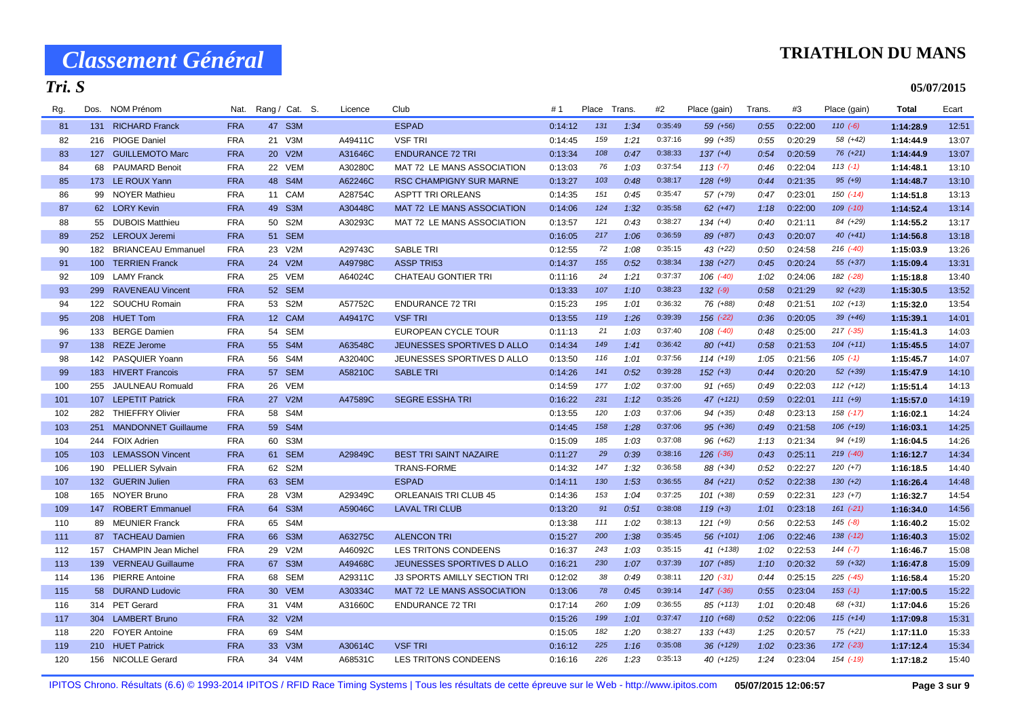#### **TRIATHLON DU MANS**

| 05/07/2015 |  |
|------------|--|
|------------|--|

| Rg. | Dos. | NOM Prénom                 | Nat.       | Rang / Cat. S. | Licence | Club                                | #1      | Place Trans. |      | #2      | Place (gain)  | Trans. | #3      | Place (gain)  | Total     | Ecart |
|-----|------|----------------------------|------------|----------------|---------|-------------------------------------|---------|--------------|------|---------|---------------|--------|---------|---------------|-----------|-------|
| 81  |      | 131 RICHARD Franck         | <b>FRA</b> | 47 S3M         |         | <b>ESPAD</b>                        | 0:14:12 | 131          | 1:34 | 0:35:49 | 59 (+56)      | 0:55   | 0:22:00 | $110(-6)$     | 1:14:28.9 | 12:51 |
| 82  |      | 216 PIOGE Daniel           | <b>FRA</b> | 21 V3M         | A49411C | <b>VSF TRI</b>                      | 0:14:45 | 159          | 1:21 | 0:37:16 | 99 (+35)      | 0:55   | 0:20:29 | 58 (+42)      | 1:14:44.9 | 13:07 |
| 83  |      | 127 GUILLEMOTO Marc        | <b>FRA</b> | 20 V2M         | A31646C | <b>ENDURANCE 72 TRI</b>             | 0:13:34 | 108          | 0:47 | 0:38:33 | $137 (+4)$    | 0:54   | 0:20:59 | $76(+21)$     | 1:14:44.9 | 13:07 |
| 84  |      | 68 PAUMARD Benoit          | <b>FRA</b> | 22 VEM         | A30280C | MAT 72 LE MANS ASSOCIATION          | 0:13:03 | 76           | 1:03 | 0:37:54 | $113(-7)$     | 0:46   | 0:22:04 | $113( -1)$    | 1:14:48.1 | 13:10 |
| 85  |      | 173 LE ROUX Yann           | <b>FRA</b> | 48 S4M         | A62246C | RSC CHAMPIGNY SUR MARNE             | 0:13:27 | 103          | 0:48 | 0:38:17 | $128 (+9)$    | 0:44   | 0:21:35 | $95 (+9)$     | 1:14:48.7 | 13:10 |
| 86  |      | 99 NOYER Mathieu           | <b>FRA</b> | 11 CAM         | A28754C | <b>ASPTT TRI ORLEANS</b>            | 0:14:35 | 151          | 0:45 | 0:35:47 | $57 (+79)$    | 0:47   | 0:23:01 | 150 (-14)     | 1:14:51.8 | 13:13 |
| 87  |      | 62 LORY Kevin              | <b>FRA</b> | 49 S3M         | A30448C | <b>MAT 72 LE MANS ASSOCIATION</b>   | 0:14:06 | 124          | 1:32 | 0:35:58 | $62$ $(+47)$  | 1:18   | 0:22:00 | 109 (-10)     | 1:14:52.4 | 13:14 |
| 88  |      | 55 DUBOIS Matthieu         | <b>FRA</b> | 50 S2M         | A30293C | MAT 72 LE MANS ASSOCIATION          | 0:13:57 | 121          | 0:43 | 0:38:27 | $134 (+4)$    | 0:40   | 0:21:11 | 84 (+29)      | 1:14:55.2 | 13:17 |
| 89  |      | 252 LEROUX Jeremi          | <b>FRA</b> | 51 SEM         |         |                                     | 0:16:05 | 217          | 1:06 | 0:36:59 | 89 (+87)      | 0:43   | 0:20:07 | $40 (+41)$    | 1:14:56.8 | 13:18 |
| 90  | 182  | <b>BRIANCEAU Emmanuel</b>  | <b>FRA</b> | 23 V2M         | A29743C | <b>SABLE TRI</b>                    | 0:12:55 | 72           | 1:08 | 0:35:15 | $43 (+22)$    | 0:50   | 0:24:58 | $216$ $(-40)$ | 1:15:03.9 | 13:26 |
| 91  |      | 100 TERRIEN Franck         | <b>FRA</b> | 24 V2M         | A49798C | <b>ASSP TRI53</b>                   | 0:14:37 | 155          | 0:52 | 0:38:34 | $138 (+27)$   | 0:45   | 0:20:24 | 55 (+37)      | 1:15:09.4 | 13:31 |
| 92  |      | 109 LAMY Franck            | <b>FRA</b> | 25 VEM         | A64024C | CHATEAU GONTIER TRI                 | 0:11:16 | 24           | 1:21 | 0:37:37 | $106$ $(-40)$ | 1:02   | 0:24:06 | 182 (-28)     | 1:15:18.8 | 13:40 |
| 93  |      | 299 RAVENEAU Vincent       | <b>FRA</b> | 52 SEM         |         |                                     | 0:13:33 | 107          | 1:10 | 0:38:23 | $132 (-9)$    | 0:58   | 0:21:29 | $92$ $(+23)$  | 1:15:30.5 | 13:52 |
| 94  |      | 122 SOUCHU Romain          | <b>FRA</b> | 53 S2M         | A57752C | <b>ENDURANCE 72 TRI</b>             | 0:15:23 | 195          | 1:01 | 0:36:32 | 76 (+88)      | 0:48   | 0:21:51 | $102 (+13)$   | 1:15:32.0 | 13:54 |
| 95  |      | 208 HUET Tom               | <b>FRA</b> | 12 CAM         | A49417C | <b>VSF TRI</b>                      | 0:13:55 | 119          | 1:26 | 0:39:39 | $156$ $(-22)$ | 0:36   | 0:20:05 | $39 (+46)$    | 1:15:39.1 | 14:01 |
| 96  | 133  | <b>BERGE Damien</b>        | <b>FRA</b> | 54 SEM         |         | EUROPEAN CYCLE TOUR                 | 0:11:13 | 21           | 1:03 | 0:37:40 | $108$ $(-40)$ | 0:48   | 0:25:00 | $217$ $(-35)$ | 1:15:41.3 | 14:03 |
| 97  |      | 138 REZE Jerome            | <b>FRA</b> | 55 S4M         | A63548C | JEUNESSES SPORTIVES D ALLO          | 0:14:34 | 149          | 1:41 | 0:36:42 | $80 (+41)$    | 0:58   | 0:21:53 | $104 (+11)$   | 1:15:45.5 | 14:07 |
| 98  |      | 142 PASQUIER Yoann         | <b>FRA</b> | 56 S4M         | A32040C | JEUNESSES SPORTIVES D ALLO          | 0:13:50 | 116          | 1:01 | 0:37:56 | $114 (+19)$   | 1:05   | 0:21:56 | $105$ $(-1)$  | 1:15:45.7 | 14:07 |
| 99  |      | 183 HIVERT Francois        | <b>FRA</b> | 57 SEM         | A58210C | <b>SABLE TRI</b>                    | 0:14:26 | 141          | 0:52 | 0:39:28 | $152 (+3)$    | 0:44   | 0:20:20 | 52 (+39)      | 1:15:47.9 | 14:10 |
| 100 | 255  | JAULNEAU Romuald           | <b>FRA</b> | 26 VEM         |         |                                     | 0:14:59 | 177          | 1:02 | 0:37:00 | $91 (+65)$    | 0:49   | 0:22:03 | $112 (+12)$   | 1:15:51.4 | 14:13 |
| 101 |      | 107 LEPETIT Patrick        | <b>FRA</b> | 27 V2M         | A47589C | <b>SEGRE ESSHA TRI</b>              | 0:16:22 | 231          | 1:12 | 0:35:26 | 47 (+121)     | 0:59   | 0:22:01 | $111 (+9)$    | 1:15:57.0 | 14:19 |
| 102 |      | 282 THIEFFRY Olivier       | <b>FRA</b> | 58 S4M         |         |                                     | 0:13:55 | 120          | 1:03 | 0:37:06 | $94 (+35)$    | 0:48   | 0:23:13 | 158 (-17)     | 1:16:02.1 | 14:24 |
| 103 | 251  | <b>MANDONNET Guillaume</b> | <b>FRA</b> | 59 S4M         |         |                                     | 0:14:45 | 158          | 1:28 | 0:37:06 | 95 (+36)      | 0:49   | 0:21:58 | 106 (+19)     | 1:16:03.1 | 14:25 |
| 104 |      | 244 FOIX Adrien            | <b>FRA</b> | 60 S3M         |         |                                     | 0:15:09 | 185          | 1:03 | 0:37:08 | $96 (+62)$    | 1:13   | 0:21:34 | $94 (+19)$    | 1:16:04.5 | 14:26 |
| 105 |      | 103 LEMASSON Vincent       | <b>FRA</b> | 61 SEM         | A29849C | <b>BEST TRI SAINT NAZAIRE</b>       | 0:11:27 | 29           | 0:39 | 0:38:16 | $126$ $(-36)$ | 0:43   | 0:25:11 | $219$ $(-40)$ | 1:16:12.7 | 14:34 |
| 106 | 190  | <b>PELLIER Sylvain</b>     | <b>FRA</b> | 62 S2M         |         | TRANS-FORME                         | 0:14:32 | 147          | 1:32 | 0:36:58 | 88 (+34)      | 0:52   | 0:22:27 | $120 (+7)$    | 1:16:18.5 | 14:40 |
| 107 |      | 132 GUERIN Julien          | <b>FRA</b> | 63 SEM         |         | <b>ESPAD</b>                        | 0:14:11 | 130          | 1:53 | 0:36:55 | $84 (+21)$    | 0:52   | 0:22:38 | $130 (+2)$    | 1:16:26.4 | 14:48 |
| 108 |      | 165 NOYER Bruno            | <b>FRA</b> | 28 V3M         | A29349C | ORLEANAIS TRI CLUB 45               | 0:14:36 | 153          | 1:04 | 0:37:25 | $101 (+38)$   | 0:59   | 0:22:31 | $123 (+7)$    | 1:16:32.7 | 14:54 |
| 109 |      | 147 ROBERT Emmanuel        | <b>FRA</b> | 64 S3M         | A59046C | <b>LAVAL TRI CLUB</b>               | 0:13:20 | 91           | 0:51 | 0:38:08 | $119 (+3)$    | 1:01   | 0:23:18 | $161$ $(-21)$ | 1:16:34.0 | 14:56 |
| 110 |      | 89 MEUNIER Franck          | <b>FRA</b> | 65 S4M         |         |                                     | 0:13:38 | 111          | 1:02 | 0:38:13 | $121 (+9)$    | 0:56   | 0:22:53 | $145 (-8)$    | 1:16:40.2 | 15:02 |
| 111 |      | 87 TACHEAU Damien          | <b>FRA</b> | 66 S3M         | A63275C | <b>ALENCON TRI</b>                  | 0:15:27 | 200          | 1:38 | 0:35:45 | $56(+101)$    | 1:06   | 0:22:46 | 138 (-12)     | 1:16:40.3 | 15:02 |
| 112 |      | 157 CHAMPIN Jean Michel    | <b>FRA</b> | 29 V2M         | A46092C | LES TRITONS CONDEENS                | 0:16:37 | 243          | 1:03 | 0:35:15 | 41 (+138)     | 1:02   | 0:22:53 | $144 (-7)$    | 1:16:46.7 | 15:08 |
| 113 |      | 139 VERNEAU Guillaume      | <b>FRA</b> | 67 S3M         | A49468C | JEUNESSES SPORTIVES D ALLO          | 0:16:21 | 230          | 1:07 | 0:37:39 | $107 (+85)$   | 1:10   | 0:20:32 | 59 (+32)      | 1:16:47.8 | 15:09 |
| 114 |      | 136 PIERRE Antoine         | <b>FRA</b> | 68 SEM         | A29311C | <b>J3 SPORTS AMILLY SECTION TRI</b> | 0:12:02 | 38           | 0:49 | 0:38:11 | $120(-31)$    | 0:44   | 0:25:15 | 225 (-45)     | 1:16:58.4 | 15:20 |
| 115 |      | 58 DURAND Ludovic          | <b>FRA</b> | 30 VEM         | A30334C | <b>MAT 72 LE MANS ASSOCIATION</b>   | 0:13:06 | 78           | 0:45 | 0:39:14 | $147$ $(-36)$ | 0:55   | 0:23:04 | $153(-1)$     | 1:17:00.5 | 15:22 |
| 116 | 314  | <b>PET Gerard</b>          | <b>FRA</b> | 31 V4M         | A31660C | <b>ENDURANCE 72 TRI</b>             | 0:17:14 | 260          | 1:09 | 0:36:55 | 85 (+113)     | 1:01   | 0:20:48 | 68 (+31)      | 1:17:04.6 | 15:26 |
| 117 |      | 304 LAMBERT Bruno          | <b>FRA</b> | 32 V2M         |         |                                     | 0:15:26 | 199          | 1:01 | 0:37:47 | $110 (+68)$   | 0:52   | 0:22:06 | $115 (+14)$   | 1:17:09.8 | 15:31 |
| 118 |      | 220 FOYER Antoine          | <b>FRA</b> | 69 S4M         |         |                                     | 0:15:05 | 182          | 1:20 | 0:38:27 | $133 (+43)$   | 1:25   | 0:20:57 | $75 (+21)$    | 1:17:11.0 | 15:33 |
| 119 |      | 210 HUET Patrick           | <b>FRA</b> | 33 V3M         | A30614C | <b>VSF TRI</b>                      | 0:16:12 | 225          | 1:16 | 0:35:08 | 36 (+129)     | 1:02   | 0:23:36 | $172$ $(-23)$ | 1:17:12.4 | 15:34 |
| 120 |      | 156 NICOLLE Gerard         | <b>FRA</b> | 34 V4M         | A68531C | <b>LES TRITONS CONDEENS</b>         | 0:16:16 | 226          | 1:23 | 0:35:13 | 40 (+125)     | 1:24   | 0:23:04 | 154 (-19)     | 1:17:18.2 | 15:40 |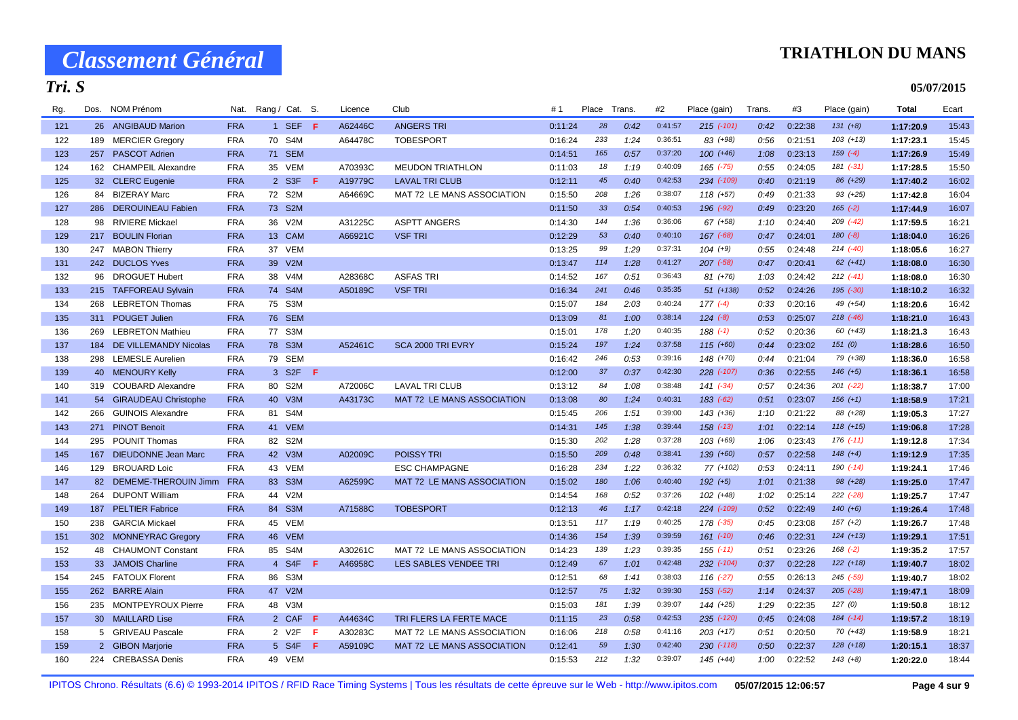#### **TRIATHLON DU MANS**

| 05/07/2015 |
|------------|
|------------|

| Rg. |     | Dos. NOM Prénom            | Nat.       | Rang / Cat. S. |        |     | Licence | Club                              | #1      | Place Trans. |      | #2      | Place (gain)  | Trans. | #3      | Place (gain)  | <b>Total</b> | Ecart |
|-----|-----|----------------------------|------------|----------------|--------|-----|---------|-----------------------------------|---------|--------------|------|---------|---------------|--------|---------|---------------|--------------|-------|
| 121 |     | 26 ANGIBAUD Marion         | <b>FRA</b> |                | 1 SEF  | -F  | A62446C | <b>ANGERS TRI</b>                 | 0:11:24 | 28           | 0:42 | 0:41:57 | $215$ (-101)  | 0:42   | 0:22:38 | $131 (+8)$    | 1:17:20.9    | 15:43 |
| 122 | 189 | <b>MERCIER Gregory</b>     | <b>FRA</b> |                | 70 S4M |     | A64478C | <b>TOBESPORT</b>                  | 0:16:24 | 233          | 1:24 | 0:36:51 | 83 (+98)      | 0:56   | 0:21:51 | $103 (+13)$   | 1:17:23.1    | 15:45 |
| 123 | 257 | PASCOT Adrien              | <b>FRA</b> |                | 71 SEM |     |         |                                   | 0:14:51 | 165          | 0:57 | 0:37:20 | $100 (+46)$   | 1:08   | 0:23:13 | $159 (-4)$    | 1:17:26.9    | 15:49 |
| 124 |     | 162 CHAMPEIL Alexandre     | <b>FRA</b> |                | 35 VEM |     | A70393C | <b>MEUDON TRIATHLON</b>           | 0:11:03 | 18           | 1:19 | 0:40:09 | $165$ $(-75)$ | 0:55   | 0:24:05 | 181 (-31)     | 1:17:28.5    | 15:50 |
| 125 |     | 32 CLERC Eugenie           | <b>FRA</b> |                | 2 S3F  | F.  | A19779C | <b>LAVAL TRI CLUB</b>             | 0:12:11 | 45           | 0:40 | 0:42:53 | 234 (-109)    | 0:40   | 0:21:19 | 86 (+29)      | 1:17:40.2    | 16:02 |
| 126 | 84  | <b>BIZERAY Marc</b>        | <b>FRA</b> |                | 72 S2M |     | A64669C | MAT 72 LE MANS ASSOCIATION        | 0:15:50 | 208          | 1:26 | 0:38:07 | 118 (+57)     | 0:49   | 0:21:33 | 93 (+25)      | 1:17:42.8    | 16:04 |
| 127 | 286 | <b>DEROUINEAU Fabien</b>   | <b>FRA</b> |                | 73 S2M |     |         |                                   | 0:11:50 | 33           | 0:54 | 0:40:53 | $196$ $(-92)$ | 0:49   | 0:23:20 | $165$ (-2)    | 1:17:44.9    | 16:07 |
| 128 | 98  | <b>RIVIERE Mickael</b>     | <b>FRA</b> |                | 36 V2M |     | A31225C | <b>ASPTT ANGERS</b>               | 0:14:30 | 144          | 1:36 | 0:36:06 | $67$ (+58)    | 1:10   | 0:24:40 | 209 (-42)     | 1:17:59.5    | 16:21 |
| 129 | 217 | <b>BOULIN Florian</b>      | <b>FRA</b> |                | 13 CAM |     | A66921C | <b>VSF TRI</b>                    | 0:12:29 | 53           | 0:40 | 0:40:10 | 167 (-68)     | 0:47   | 0:24:01 | $180(-8)$     | 1:18:04.0    | 16:26 |
| 130 | 247 | <b>MABON Thierry</b>       | <b>FRA</b> |                | 37 VEM |     |         |                                   | 0:13:25 | 99           | 1:29 | 0:37:31 | $104 (+9)$    | 0:55   | 0:24:48 | $214 (-40)$   | 1:18:05.6    | 16:27 |
| 131 |     | 242 DUCLOS Yves            | <b>FRA</b> |                | 39 V2M |     |         |                                   | 0:13:47 | 114          | 1:28 | 0:41:27 | $207$ $(-58)$ | 0:47   | 0:20:41 | $62 (+41)$    | 1:18:08.0    | 16:30 |
| 132 |     | 96 DROGUET Hubert          | <b>FRA</b> |                | 38 V4M |     | A28368C | <b>ASFAS TRI</b>                  | 0:14:52 | 167          | 0:51 | 0:36:43 | $81 (+76)$    | 1:03   | 0:24:42 | $212$ $(-41)$ | 1:18:08.0    | 16:30 |
| 133 |     | 215 TAFFOREAU Sylvain      | <b>FRA</b> |                | 74 S4M |     | A50189C | <b>VSF TRI</b>                    | 0:16:34 | 241          | 0:46 | 0:35:35 | $51 (+138)$   | 0:52   | 0:24:26 | $195$ $(-30)$ | 1:18:10.2    | 16:32 |
| 134 | 268 | <b>LEBRETON Thomas</b>     | <b>FRA</b> |                | 75 S3M |     |         |                                   | 0:15:07 | 184          | 2:03 | 0:40:24 | $177(-4)$     | 0:33   | 0:20:16 | 49 (+54)      | 1:18:20.6    | 16:42 |
| 135 | 311 | <b>POUGET Julien</b>       | <b>FRA</b> |                | 76 SEM |     |         |                                   | 0:13:09 | 81           | 1:00 | 0:38:14 | $124 (-8)$    | 0:53   | 0:25:07 | $218$ $(-46)$ | 1:18:21.0    | 16:43 |
| 136 | 269 | <b>LEBRETON Mathieu</b>    | <b>FRA</b> |                | 77 S3M |     |         |                                   | 0:15:01 | 178          | 1:20 | 0:40:35 | $188(-1)$     | 0:52   | 0:20:36 | $60 (+43)$    | 1:18:21.3    | 16:43 |
| 137 | 184 | DE VILLEMANDY Nicolas      | <b>FRA</b> |                | 78 S3M |     | A52461C | SCA 2000 TRI EVRY                 | 0:15:24 | 197          | 1:24 | 0:37:58 | $115(+60)$    | 0:44   | 0:23:02 | 151(0)        | 1:18:28.6    | 16:50 |
| 138 | 298 | <b>LEMESLE Aurelien</b>    | <b>FRA</b> |                | 79 SEM |     |         |                                   | 0:16:42 | 246          | 0:53 | 0:39:16 | 148 (+70)     | 0:44   | 0:21:04 | 79 (+38)      | 1:18:36.0    | 16:58 |
| 139 |     | 40 MENOURY Kelly           | <b>FRA</b> |                | 3 S2F  | -F. |         |                                   | 0:12:00 | 37           | 0:37 | 0:42:30 | 228 (-107)    | 0:36   | 0:22:55 | $146 (+5)$    | 1:18:36.1    | 16:58 |
| 140 | 319 | <b>COUBARD Alexandre</b>   | <b>FRA</b> |                | 80 S2M |     | A72006C | <b>LAVAL TRI CLUB</b>             | 0:13:12 | 84           | 1:08 | 0:38:48 | $141 (-34)$   | 0:57   | 0:24:36 | $201$ $(-22)$ | 1:18:38.7    | 17:00 |
| 141 |     | 54 GIRAUDEAU Christophe    | <b>FRA</b> |                | 40 V3M |     | A43173C | <b>MAT 72 LE MANS ASSOCIATION</b> | 0:13:08 | 80           | 1:24 | 0:40:31 | 183 (-62)     | 0:51   | 0:23:07 | $156 (+1)$    | 1:18:58.9    | 17:21 |
| 142 | 266 | <b>GUINOIS Alexandre</b>   | <b>FRA</b> |                | 81 S4M |     |         |                                   | 0:15:45 | 206          | 1:51 | 0:39:00 | $143 (+36)$   | 1:10   | 0:21:22 | 88 (+28)      | 1:19:05.3    | 17:27 |
| 143 | 271 | <b>PINOT Benoit</b>        | <b>FRA</b> |                | 41 VEM |     |         |                                   | 0:14:31 | 145          | 1:38 | 0:39:44 | $158$ $(-13)$ | 1:01   | 0:22:14 | $118 (+15)$   | 1:19:06.8    | 17:28 |
| 144 | 295 | <b>POUNIT Thomas</b>       | <b>FRA</b> |                | 82 S2M |     |         |                                   | 0:15:30 | 202          | 1:28 | 0:37:28 | $103 (+69)$   | 1:06   | 0:23:43 | $176$ $(-11)$ | 1:19:12.8    | 17:34 |
| 145 | 167 | <b>DIEUDONNE Jean Marc</b> | <b>FRA</b> |                | 42 V3M |     | A02009C | <b>POISSY TRI</b>                 | 0:15:50 | 209          | 0:48 | 0:38:41 | 139 (+60)     | 0:57   | 0:22:58 | $148 (+4)$    | 1:19:12.9    | 17:35 |
| 146 | 129 | <b>BROUARD Loic</b>        | <b>FRA</b> |                | 43 VEM |     |         | <b>ESC CHAMPAGNE</b>              | 0:16:28 | 234          | 1:22 | 0:36:32 | $77(+102)$    | 0:53   | 0:24:11 | 190 (-14)     | 1:19:24.1    | 17:46 |
| 147 |     | 82 DEMEME-THEROUIN Jimm    | <b>FRA</b> |                | 83 S3M |     | A62599C | MAT 72 LE MANS ASSOCIATION        | 0:15:02 | 180          | 1:06 | 0:40:40 | $192 (+5)$    | 1:01   | 0:21:38 | 98 (+28)      | 1:19:25.0    | 17:47 |
| 148 | 264 | <b>DUPONT William</b>      | <b>FRA</b> |                | 44 V2M |     |         |                                   | 0:14:54 | 168          | 0:52 | 0:37:26 | $102 (+48)$   | 1:02   | 0:25:14 | 222 (-28)     | 1:19:25.7    | 17:47 |
| 149 | 187 | <b>PELTIER Fabrice</b>     | <b>FRA</b> |                | 84 S3M |     | A71588C | <b>TOBESPORT</b>                  | 0:12:13 | 46           | 1:17 | 0:42:18 | 224 (-109)    | 0:52   | 0:22:49 | $140 (+6)$    | 1:19:26.4    | 17:48 |
| 150 | 238 | <b>GARCIA Mickael</b>      | <b>FRA</b> |                | 45 VEM |     |         |                                   | 0:13:51 | 117          | 1:19 | 0:40:25 | 178 (-35)     | 0:45   | 0:23:08 | $157 (+2)$    | 1:19:26.7    | 17:48 |
| 151 |     | 302 MONNEYRAC Gregory      | <b>FRA</b> |                | 46 VEM |     |         |                                   | 0:14:36 | 154          | 1:39 | 0:39:59 | $161$ $(-10)$ | 0:46   | 0:22:31 | $124 (+13)$   | 1:19:29.1    | 17:51 |
| 152 |     | 48 CHAUMONT Constant       | <b>FRA</b> |                | 85 S4M |     | A30261C | MAT 72 LE MANS ASSOCIATION        | 0:14:23 | 139          | 1:23 | 0:39:35 | $155$ $(-11)$ | 0:51   | 0:23:26 | $168$ $(-2)$  | 1:19:35.2    | 17:57 |
| 153 |     | 33 JAMOIS Charline         | <b>FRA</b> |                | 4 S4F  | -F. | A46958C | LES SABLES VENDEE TRI             | 0:12:49 | 67           | 1:01 | 0:42:48 | 232 (-104)    | 0:37   | 0:22:28 | $122 (+18)$   | 1:19:40.7    | 18:02 |
| 154 |     | 245 FATOUX Florent         | <b>FRA</b> |                | 86 S3M |     |         |                                   | 0:12:51 | 68           | 1:41 | 0:38:03 | $116$ $(-27)$ | 0:55   | 0:26:13 | $245$ $(-59)$ | 1:19:40.7    | 18:02 |
| 155 | 262 | <b>BARRE Alain</b>         | <b>FRA</b> |                | 47 V2M |     |         |                                   | 0:12:57 | 75           | 1:32 | 0:39:30 | $153$ $(-52)$ | 1:14   | 0:24:37 | $205$ (-28)   | 1:19:47.1    | 18:09 |
| 156 | 235 | <b>MONTPEYROUX Pierre</b>  | <b>FRA</b> |                | 48 V3M |     |         |                                   | 0:15:03 | 181          | 1:39 | 0:39:07 | 144 (+25)     | 1:29   | 0:22:35 | 127(0)        | 1:19:50.8    | 18:12 |
| 157 |     | 30 MAILLARD Lise           | <b>FRA</b> |                | 2 CAF  | -F. | A44634C | TRI FLERS LA FERTE MACE           | 0:11:15 | 23           | 0:58 | 0:42:53 | 235 (-120)    | 0:45   | 0:24:08 | 184 (-14)     | 1:19:57.2    | 18:19 |
| 158 |     | 5 GRIVEAU Pascale          | <b>FRA</b> |                | 2 V2F  | -F  | A30283C | MAT 72 LE MANS ASSOCIATION        | 0:16:06 | 218          | 0:58 | 0:41:16 | $203 (+17)$   | 0:51   | 0:20:50 | $70(+43)$     | 1:19:58.9    | 18:21 |
| 159 |     | 2 GIBON Marjorie           | <b>FRA</b> |                | 5 S4F  | F.  | A59109C | MAT 72 LE MANS ASSOCIATION        | 0:12:41 | 59           | 1:30 | 0:42:40 | 230 (-118)    | 0:50   | 0:22:37 | $128 (+18)$   | 1:20:15.1    | 18:37 |
| 160 |     | 224 CREBASSA Denis         | <b>FRA</b> |                | 49 VEM |     |         |                                   | 0:15:53 | 212          | 1:32 | 0:39:07 | $145 (+44)$   | 1:00   | 0:22:52 | $143 (+8)$    | 1:20:22.0    | 18:44 |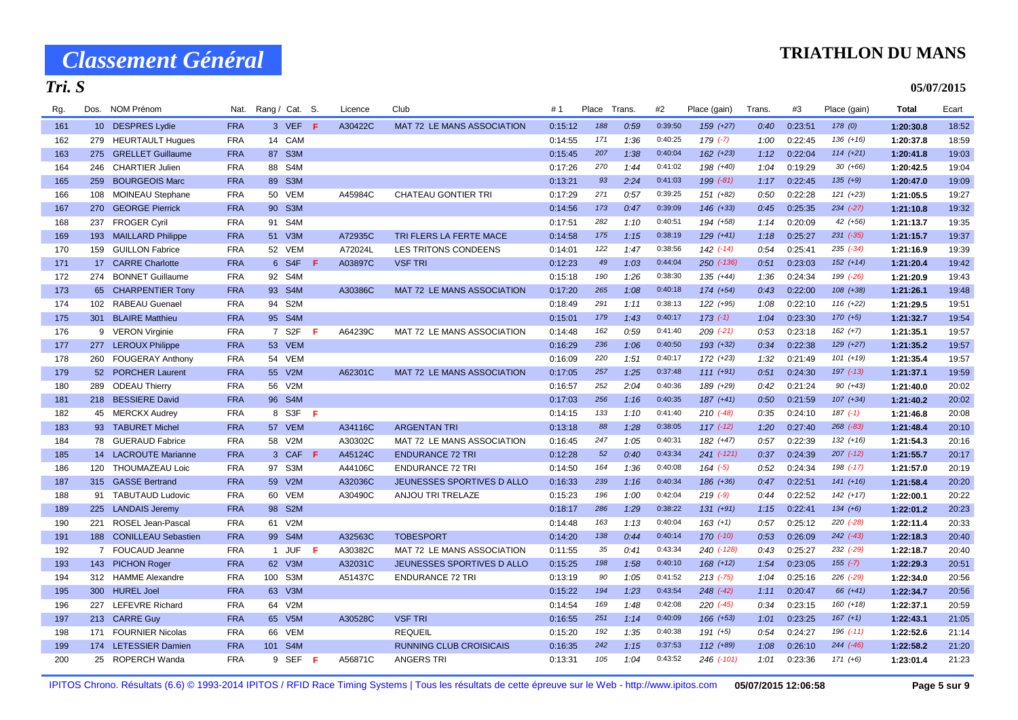#### **TRIATHLON DU MANS**

| 05/07/2015 |  |
|------------|--|
|------------|--|

| Rg. | Dos. | <b>NOM Prénom</b>        | Nat.       |     |                        | Rang / Cat. S.   | Licence | Club                              | #1      | Place | Trans. | #2      | Place (gain)    | Trans. | #3      | Place (gain)  | <b>Total</b> | Ecart |
|-----|------|--------------------------|------------|-----|------------------------|------------------|---------|-----------------------------------|---------|-------|--------|---------|-----------------|--------|---------|---------------|--------------|-------|
| 161 |      | 10 DESPRES Lydie         | <b>FRA</b> |     |                        | 3 VEF F          | A30422C | <b>MAT 72 LE MANS ASSOCIATION</b> | 0:15:12 | 188   | 0:59   | 0:39:50 | $159(+27)$      | 0:40   | 0:23:51 | 178(0)        | 1:20:30.8    | 18:52 |
| 162 |      | 279 HEURTAULT Hugues     | <b>FRA</b> |     | 14 CAM                 |                  |         |                                   | 0:14:55 | 171   | 1:36   | 0:40:25 | $179(-7)$       | 1:00   | 0:22:45 | $136 (+16)$   | 1:20:37.8    | 18:59 |
| 163 | 275  | <b>GRELLET Guillaume</b> | <b>FRA</b> |     | 87 S3M                 |                  |         |                                   | 0:15:45 | 207   | 1:38   | 0:40:04 | $162 (+23)$     | 1:12   | 0:22:04 | $114 (+21)$   | 1:20:41.8    | 19:03 |
| 164 | 246  | <b>CHARTIER Julien</b>   | <b>FRA</b> |     | 88 S4M                 |                  |         |                                   | 0:17:26 | 270   | 1:44   | 0:41:02 | 198 (+40)       | 1:04   | 0:19:29 | $30 (+66)$    | 1:20:42.5    | 19:04 |
| 165 | 259  | <b>BOURGEOIS Marc</b>    | <b>FRA</b> |     | 89<br>S <sub>3</sub> M |                  |         |                                   | 0:13:21 | 93    | 2:24   | 0:41:03 | $199(-81)$      | 1:17   | 0:22:45 | $135 (+9)$    | 1:20:47.0    | 19:09 |
| 166 | 108  | MOINEAU Stephane         | <b>FRA</b> |     | 50 VEM                 |                  | A45984C | <b>CHATEAU GONTIER TRI</b>        | 0:17:29 | 271   | 0:57   | 0:39:25 | $151 (+82)$     | 0:50   | 0:22:28 | 121 (+23)     | 1:21:05.5    | 19:27 |
| 167 | 270  | <b>GEORGE Pierrick</b>   | <b>FRA</b> |     | 90 S3M                 |                  |         |                                   | 0:14:56 | 173   | 0:47   | 0:39:09 | $146 (+33)$     | 0:45   | 0:25:35 | $234 (-27)$   | 1:21:10.8    | 19:32 |
| 168 | 237  | <b>FROGER Cyril</b>      | <b>FRA</b> |     | S4M<br>91              |                  |         |                                   | 0:17:51 | 282   | 1:10   | 0:40:51 | 194 (+58)       | 1:14   | 0:20:09 | 42 (+56)      | 1:21:13.7    | 19:35 |
| 169 | 193  | <b>MAILLARD Philippe</b> | <b>FRA</b> |     | 51 V3M                 |                  | A72935C | TRI FLERS LA FERTE MACE           | 0:14:58 | 175   | 1:15   | 0:38:19 | $129 (+41)$     | 1:18   | 0:25:27 | $231 (-35)$   | 1:21:15.7    | 19:37 |
| 170 | 159  | <b>GUILLON Fabrice</b>   | <b>FRA</b> |     | 52 VEM                 |                  | A72024L | <b>LES TRITONS CONDEENS</b>       | 0:14:01 | 122   | 1:47   | 0:38:56 | $142$ $(-14)$   | 0:54   | 0:25:41 | $235$ $(-34)$ | 1:21:16.9    | 19:39 |
| 171 |      | 17 CARRE Charlotte       | <b>FRA</b> |     | 6 S4F                  | F.               | A03897C | <b>VSF TRI</b>                    | 0:12:23 | 49    | 1:03   | 0:44:04 | 250 (-136)      | 0:51   | 0:23:03 | $152 (+14)$   | 1:21:20.4    | 19:42 |
| 172 | 274  | <b>BONNET Guillaume</b>  | <b>FRA</b> |     | 92 S4M                 |                  |         |                                   | 0:15:18 | 190   | 1:26   | 0:38:30 | $135 (+44)$     | 1:36   | 0:24:34 | 199 (-26)     | 1:21:20.9    | 19:43 |
| 173 |      | 65 CHARPENTIER Tony      | <b>FRA</b> |     | 93 S4M                 |                  | A30386C | MAT 72 LE MANS ASSOCIATION        | 0:17:20 | 265   | 1:08   | 0:40:18 | 174 (+54)       | 0:43   | 0:22:00 | $108 (+38)$   | 1:21:26.1    | 19:48 |
| 174 | 102  | <b>RABEAU Guenael</b>    | <b>FRA</b> |     | 94 S2M                 |                  |         |                                   | 0:18:49 | 291   | 1:11   | 0:38:13 | 122 (+95)       | 1:08   | 0:22:10 | $116 (+22)$   | 1:21:29.5    | 19:51 |
| 175 | 301  | <b>BLAIRE Matthieu</b>   | <b>FRA</b> |     | 95 S4M                 |                  |         |                                   | 0:15:01 | 179   | 1:43   | 0:40:17 | $173$ $(-1)$    | 1:04   | 0:23:30 | $170 (+5)$    | 1:21:32.7    | 19:54 |
| 176 |      | 9 VERON Virginie         | <b>FRA</b> |     | 7 S2F                  | -F.              | A64239C | MAT 72 LE MANS ASSOCIATION        | 0:14:48 | 162   | 0:59   | 0:41:40 | $209$ $(-21)$   | 0:53   | 0:23:18 | $162 (+7)$    | 1:21:35.1    | 19:57 |
| 177 |      | 277 LEROUX Philippe      | <b>FRA</b> |     | 53 VEM                 |                  |         |                                   | 0:16:29 | 236   | 1:06   | 0:40:50 | $193 (+32)$     | 0:34   | 0:22:38 | 129 (+27)     | 1:21:35.2    | 19:57 |
| 178 | 260  | <b>FOUGERAY Anthony</b>  | <b>FRA</b> |     | 54 VEM                 |                  |         |                                   | 0:16:09 | 220   | 1:51   | 0:40:17 | 172 (+23)       | 1:32   | 0:21:49 | $101 (+19)$   | 1:21:35.4    | 19:57 |
| 179 |      | 52 PORCHER Laurent       | <b>FRA</b> |     | 55 V2M                 |                  | A62301C | <b>MAT 72 LE MANS ASSOCIATION</b> | 0:17:05 | 257   | 1:25   | 0:37:48 | $111 (+91)$     | 0:51   | 0:24:30 | 197 (-13)     | 1:21:37.1    | 19:59 |
| 180 | 289  | <b>ODEAU Thierry</b>     | <b>FRA</b> |     | V <sub>2</sub> M<br>56 |                  |         |                                   | 0:16:57 | 252   | 2:04   | 0:40:36 | 189 (+29)       | 0:42   | 0:21:24 | $90 (+43)$    | 1:21:40.0    | 20:02 |
| 181 |      | 218 BESSIERE David       | <b>FRA</b> |     | 96 S4M                 |                  |         |                                   | 0:17:03 | 256   | 1:16   | 0:40:35 | $187 (+41)$     | 0:50   | 0:21:59 | $107 (+34)$   | 1:21:40.2    | 20:02 |
| 182 |      | 45 MERCKX Audrey         | <b>FRA</b> |     |                        | 8 S3F F          |         |                                   | 0:14:15 | 133   | 1:10   | 0:41:40 | $210(-48)$      | 0:35   | 0:24:10 | $187(-1)$     | 1:21:46.8    | 20:08 |
| 183 |      | 93 TABURET Michel        | <b>FRA</b> |     | 57 VEM                 |                  | A34116C | <b>ARGENTAN TRI</b>               | 0:13:18 | 88    | 1:28   | 0:38:05 | $117$ $(-12)$   | 1:20   | 0:27:40 | $268$ $(-83)$ | 1:21:48.4    | 20:10 |
| 184 |      | 78 GUERAUD Fabrice       | <b>FRA</b> |     | 58 V2M                 |                  | A30302C | MAT 72 LE MANS ASSOCIATION        | 0:16:45 | 247   | 1:05   | 0:40:31 | 182 (+47)       | 0:57   | 0:22:39 | $132 (+16)$   | 1:21:54.3    | 20:16 |
| 185 |      | 14 LACROUTE Marianne     | <b>FRA</b> |     | 3 CAF                  | -F.              | A45124C | <b>ENDURANCE 72 TRI</b>           | 0:12:28 | 52    | 0:40   | 0:43:34 | 241 (-121)      | 0:37   | 0:24:39 | $207$ $(-12)$ | 1:21:55.7    | 20:17 |
| 186 | 120  | THOUMAZEAU Loic          | <b>FRA</b> |     | 97 S3M                 |                  | A44106C | <b>ENDURANCE 72 TRI</b>           | 0:14:50 | 164   | 1:36   | 0:40:08 | $164 (-5)$      | 0:52   | 0:24:34 | 198 (-17)     | 1:21:57.0    | 20:19 |
| 187 |      | 315 GASSE Bertrand       | <b>FRA</b> |     | 59 V2M                 |                  | A32036C | JEUNESSES SPORTIVES D ALLO        | 0:16:33 | 239   | 1:16   | 0:40:34 | 186 (+36)       | 0:47   | 0:22:51 | $141 (+16)$   | 1:21:58.4    | 20:20 |
| 188 |      | 91 TABUTAUD Ludovic      | <b>FRA</b> |     | 60                     | <b>VEM</b>       | A30490C | <b>ANJOU TRI TRELAZE</b>          | 0:15:23 | 196   | 1:00   | 0:42:04 | $219(-9)$       | 0:44   | 0:22:52 | $142 (+17)$   | 1:22:00.1    | 20:22 |
| 189 | 225  | <b>LANDAIS Jeremy</b>    | <b>FRA</b> |     | 98<br>S <sub>2</sub> M |                  |         |                                   | 0:18:17 | 286   | 1:29   | 0:38:22 | $131 (+91)$     | 1:15   | 0:22:41 | $134(+6)$     | 1:22:01.2    | 20:23 |
| 190 | 221  | ROSEL Jean-Pascal        | <b>FRA</b> |     | V2M<br>61              |                  |         |                                   | 0:14:48 | 163   | 1:13   | 0:40:04 | $163 (+1)$      | 0:57   | 0:25:12 | 220 (-28)     | 1:22:11.4    | 20:33 |
| 191 |      | 188 CONILLEAU Sebastien  | <b>FRA</b> |     | 99 S4M                 |                  | A32563C | <b>TOBESPORT</b>                  | 0:14:20 | 138   | 0:44   | 0:40:14 | $170$ $(-10)$   | 0:53   | 0:26:09 | $242$ $(-43)$ | 1:22:18.3    | 20:40 |
| 192 |      | 7 FOUCAUD Jeanne         | <b>FRA</b> |     |                        | 1 JUF F          | A30382C | MAT 72 LE MANS ASSOCIATION        | 0:11:55 | 35    | 0:41   | 0:43:34 | 240 (-128)      | 0:43   | 0:25:27 | 232 (-29)     | 1:22:18.7    | 20:40 |
| 193 |      | 143 PICHON Roger         | <b>FRA</b> |     | 62 V3M                 |                  | A32031C | JEUNESSES SPORTIVES D ALLO        | 0:15:25 | 198   | 1:58   | 0:40:10 | $168 (+12)$     | 1:54   | 0:23:05 | $155 (-7)$    | 1:22:29.3    | 20:51 |
| 194 |      | 312 HAMME Alexandre      | <b>FRA</b> | 100 |                        | S <sub>3</sub> M | A51437C | <b>ENDURANCE 72 TRI</b>           | 0:13:19 | 90    | 1:05   | 0:41:52 | $213$ ( $-75$ ) | 1:04   | 0:25:16 | 226 (-29)     | 1:22:34.0    | 20:56 |
| 195 | 300  | <b>HUREL Joel</b>        | <b>FRA</b> |     | V3M<br>63              |                  |         |                                   | 0:15:22 | 194   | 1:23   | 0:43:54 | $248$ $(-42)$   | 1:11   | 0:20:47 | 66 (+41)      | 1:22:34.7    | 20:56 |
| 196 | 227  | <b>LEFEVRE Richard</b>   | <b>FRA</b> |     | 64 V2M                 |                  |         |                                   | 0:14:54 | 169   | 1:48   | 0:42:08 | $220$ $(-45)$   | 0:34   | 0:23:15 | 160 (+18)     | 1:22:37.1    | 20:59 |
| 197 | 213  | <b>CARRE Guy</b>         | <b>FRA</b> |     | V <sub>5</sub> M<br>65 |                  | A30528C | <b>VSF TRI</b>                    | 0:16:55 | 251   | 1:14   | 0:40:09 | 166 (+53)       | 1:01   | 0:23:25 | $167 (+1)$    | 1:22:43.1    | 21:05 |
| 198 |      | 171 FOURNIER Nicolas     | <b>FRA</b> |     | 66                     | <b>VEM</b>       |         | <b>REQUEIL</b>                    | 0:15:20 | 192   | 1:35   | 0:40:38 | $191 (+5)$      | 0:54   | 0:24:27 | 196 (-11)     | 1:22:52.6    | 21:14 |
| 199 | 174  | <b>LETESSIER Damien</b>  | <b>FRA</b> | 101 | S <sub>4</sub> M       |                  |         | <b>RUNNING CLUB CROISICAIS</b>    | 0:16:35 | 242   | 1:15   | 0:37:53 | $112(+89)$      | 1:08   | 0:26:10 | 244 (-46)     | 1:22:58.2    | 21:20 |
| 200 | 25   | ROPERCH Wanda            | <b>FRA</b> |     | 9 SEF                  | -F               | A56871C | <b>ANGERS TRI</b>                 | 0:13:31 | 105   | 1:04   | 0:43:52 | 246 (-101)      | 1:01   | 0:23:36 | $171 (+6)$    | 1:23:01.4    | 21:23 |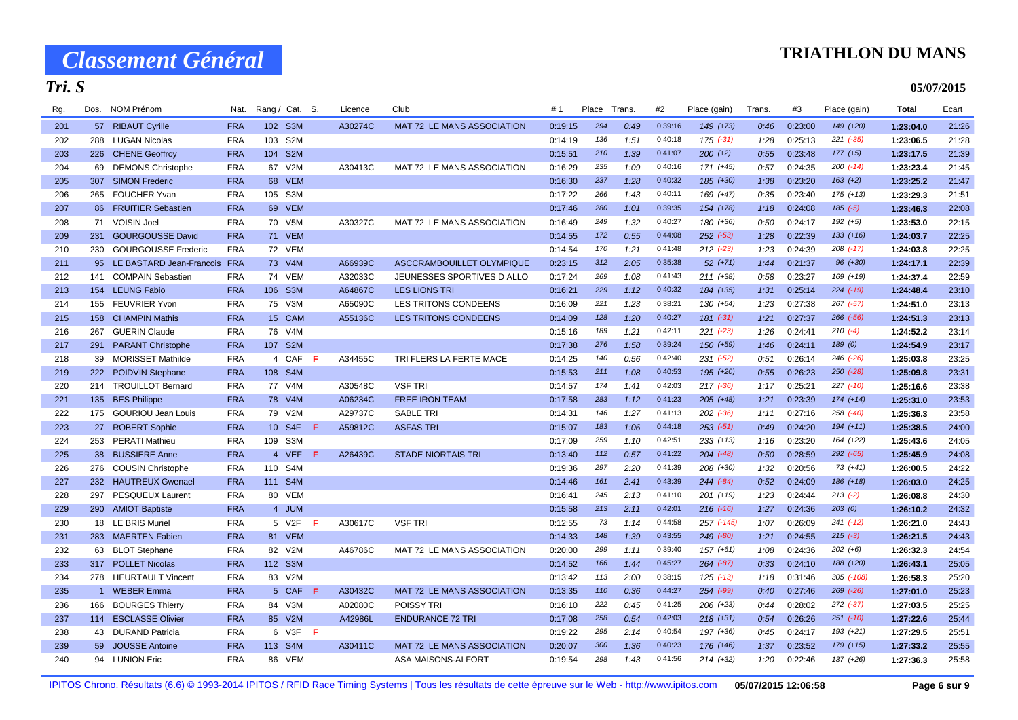#### **TRIATHLON DU MANS**

| Rg. |     | Dos. NOM Prénom                 | Nat.       | Rang / Cat. S. |                  |     | Licence | Club                              | #1      | Place | Trans. | #2      | Place (gain)    | Trans. | #3      | Place (gain)   | Total     | Ecart |
|-----|-----|---------------------------------|------------|----------------|------------------|-----|---------|-----------------------------------|---------|-------|--------|---------|-----------------|--------|---------|----------------|-----------|-------|
| 201 |     | 57 RIBAUT Cyrille               | <b>FRA</b> |                | 102 S3M          |     | A30274C | <b>MAT 72 LE MANS ASSOCIATION</b> | 0:19:15 | 294   | 0:49   | 0:39:16 | $149 (+73)$     | 0:46   | 0:23:00 | 149 (+20)      | 1:23:04.0 | 21:26 |
| 202 | 288 | <b>LUGAN Nicolas</b>            | <b>FRA</b> | 103            | S2M              |     |         |                                   | 0:14:19 | 136   | 1:51   | 0:40:18 | $175$ $(-31)$   | 1:28   | 0:25:13 | $221 (-35)$    | 1:23:06.5 | 21:28 |
| 203 |     | 226 CHENE Geoffroy              | <b>FRA</b> |                | 104 S2M          |     |         |                                   | 0:15:51 | 210   | 1:39   | 0:41:07 | $200 (+2)$      | 0:55   | 0:23:48 | $177 (+5)$     | 1:23:17.5 | 21:39 |
| 204 |     | 69 DEMONS Christophe            | <b>FRA</b> |                | 67 V2M           |     | A30413C | MAT 72 LE MANS ASSOCIATION        | 0:16:29 | 235   | 1:09   | 0:40:16 | $171 (+45)$     | 0:57   | 0:24:35 | $200 (-14)$    | 1:23:23.4 | 21:45 |
| 205 | 307 | <b>SIMON Frederic</b>           | <b>FRA</b> | 68             | <b>VEM</b>       |     |         |                                   | 0:16:30 | 237   | 1:28   | 0:40:32 | $185(+30)$      | 1:38   | 0:23:20 | $163 (+2)$     | 1:23:25.2 | 21:47 |
| 206 | 265 | <b>FOUCHER Yvan</b>             | <b>FRA</b> | 105            | S3M              |     |         |                                   | 0:17:22 | 266   | 1:43   | 0:40:11 | 169 (+47)       | 0:35   | 0:23:40 | $175 (+13)$    | 1:23:29.3 | 21:51 |
| 207 |     | 86 FRUITIER Sebastien           | <b>FRA</b> |                | 69 VEM           |     |         |                                   | 0:17:46 | 280   | 1:01   | 0:39:35 | $154 (+78)$     | 1:18   | 0:24:08 | $185$ $(-5)$   | 1:23:46.3 | 22:08 |
| 208 |     | 71 VOISIN Joel                  | <b>FRA</b> | 70             | V5M              |     | A30327C | MAT 72 LE MANS ASSOCIATION        | 0:16:49 | 249   | 1:32   | 0:40:27 | 180 (+36)       | 0:50   | 0:24:17 | $192 (+5)$     | 1:23:53.0 | 22:15 |
| 209 | 231 | <b>GOURGOUSSE David</b>         | <b>FRA</b> |                | 71 VEM           |     |         |                                   | 0:14:55 | 172   | 0:55   | 0:44:08 | $252$ $(-53)$   | 1:28   | 0:22:39 | $133 (+16)$    | 1:24:03.7 | 22:25 |
| 210 | 230 | <b>GOURGOUSSE Frederic</b>      | <b>FRA</b> |                | 72 VEM           |     |         |                                   | 0:14:54 | 170   | 1:21   | 0:41:48 | $212$ $(-23)$   | 1:23   | 0:24:39 | $208$ $(-17)$  | 1:24:03.8 | 22:25 |
| 211 |     | 95 LE BASTARD Jean-Francois FRA |            |                | 73 V4M           |     | A66939C | ASCCRAMBOUILLET OLYMPIQUE         | 0:23:15 | 312   | 2:05   | 0:35:38 | $52 (+71)$      | 1:44   | 0:21:37 | 96 (+30)       | 1:24:17.1 | 22:39 |
| 212 | 141 | <b>COMPAIN Sebastien</b>        | <b>FRA</b> |                | 74 VEM           |     | A32033C | JEUNESSES SPORTIVES D ALLO        | 0:17:24 | 269   | 1:08   | 0:41:43 | $211 (+38)$     | 0:58   | 0:23:27 | 169 (+19)      | 1:24:37.4 | 22:59 |
| 213 |     | 154 LEUNG Fabio                 | <b>FRA</b> |                | 106 S3M          |     | A64867C | <b>LES LIONS TRI</b>              | 0:16:21 | 229   | 1:12   | 0:40:32 | 184 (+35)       | 1:31   | 0:25:14 | $224$ $(-19)$  | 1:24:48.4 | 23:10 |
| 214 |     | 155 FEUVRIER Yvon               | <b>FRA</b> |                | 75 V3M           |     | A65090C | LES TRITONS CONDEENS              | 0:16:09 | 221   | 1:23   | 0:38:21 | $130 (+64)$     | 1:23   | 0:27:38 | 267 (-57)      | 1:24:51.0 | 23:13 |
| 215 | 158 | <b>CHAMPIN Mathis</b>           | <b>FRA</b> |                | 15 CAM           |     | A55136C | LES TRITONS CONDEENS              | 0:14:09 | 128   | 1:20   | 0:40:27 | $181 (-31)$     | 1:21   | 0:27:37 | 266 (-56)      | 1:24:51.3 | 23:13 |
| 216 | 267 | <b>GUERIN Claude</b>            | <b>FRA</b> |                | 76 V4M           |     |         |                                   | 0:15:16 | 189   | 1:21   | 0:42:11 | $221$ $(-23)$   | 1:26   | 0:24:41 | $210(-4)$      | 1:24:52.2 | 23:14 |
| 217 | 291 | <b>PARANT Christophe</b>        | <b>FRA</b> |                | 107 S2M          |     |         |                                   | 0:17:38 | 276   | 1:58   | 0:39:24 | 150 (+59)       | 1:46   | 0:24:11 | 189(0)         | 1:24:54.9 | 23:17 |
| 218 | 39  | MORISSET Mathilde               | <b>FRA</b> |                | 4 CAF            | -F  | A34455C | TRI FLERS LA FERTE MACE           | 0:14:25 | 140   | 0:56   | 0:42:40 | $231 (-52)$     | 0:51   | 0:26:14 | $246$ $(-26)$  | 1:25:03.8 | 23:25 |
| 219 |     | 222 POIDVIN Stephane            | <b>FRA</b> |                | 108 S4M          |     |         |                                   | 0:15:53 | 211   | 1:08   | 0:40:53 | 195 (+20)       | 0:55   | 0:26:23 | 250 (-28)      | 1:25:09.8 | 23:31 |
| 220 |     | 214 TROUILLOT Bernard           | <b>FRA</b> |                | 77 V4M           |     | A30548C | <b>VSF TRI</b>                    | 0:14:57 | 174   | 1:41   | 0:42:03 | $217$ (-36)     | 1:17   | 0:25:21 | 227 (-10)      | 1:25:16.6 | 23:38 |
| 221 |     | 135 BES Philippe                | <b>FRA</b> |                | 78 V4M           |     | A06234C | <b>FREE IRON TEAM</b>             | 0:17:58 | 283   | 1:12   | 0:41:23 | $205 (+48)$     | 1:21   | 0:23:39 | $174 (+14)$    | 1:25:31.0 | 23:53 |
| 222 |     | 175 GOURIOU Jean Louis          | <b>FRA</b> |                | 79 V2M           |     | A29737C | <b>SABLE TRI</b>                  | 0:14:31 | 146   | 1:27   | 0:41:13 | $202$ $(-36)$   | 1:11   | 0:27:16 | 258 (-40)      | 1:25:36.3 | 23:58 |
| 223 |     | 27 ROBERT Sophie                | <b>FRA</b> |                | 10 S4F           | F.  | A59812C | <b>ASFAS TRI</b>                  | 0:15:07 | 183   | 1:06   | 0:44:18 | $253$ $(-51)$   | 0:49   | 0:24:20 | $194 (+11)$    | 1:25:38.5 | 24:00 |
| 224 | 253 | <b>PERATI Mathieu</b>           | <b>FRA</b> |                | 109 S3M          |     |         |                                   | 0:17:09 | 259   | 1:10   | 0:42:51 | $233 (+13)$     | 1:16   | 0:23:20 | 164 (+22)      | 1:25:43.6 | 24:05 |
| 225 |     | 38 BUSSIERE Anne                | <b>FRA</b> |                | 4 VEF            | -F. | A26439C | <b>STADE NIORTAIS TRI</b>         | 0:13:40 | 112   | 0:57   | 0:41:22 | $204$ $(-48)$   | 0:50   | 0:28:59 | $292$ $(-65)$  | 1:25:45.9 | 24:08 |
| 226 |     | 276 COUSIN Christophe           | <b>FRA</b> |                | 110 S4M          |     |         |                                   | 0:19:36 | 297   | 2:20   | 0:41:39 | $208 (+30)$     | 1:32   | 0:20:56 | $73(+41)$      | 1:26:00.5 | 24:22 |
| 227 | 232 | <b>HAUTREUX Gwenael</b>         | <b>FRA</b> |                | 111 S4M          |     |         |                                   | 0:14:46 | 161   | 2:41   | 0:43:39 | $244 (-84)$     | 0:52   | 0:24:09 | 186 (+18)      | 1:26:03.0 | 24:25 |
| 228 | 297 | <b>PESQUEUX Laurent</b>         | <b>FRA</b> |                | 80 VEM           |     |         |                                   | 0:16:41 | 245   | 2:13   | 0:41:10 | $201 (+19)$     | 1:23   | 0:24:44 | $213 (-2)$     | 1:26:08.8 | 24:30 |
| 229 |     | 290 AMIOT Baptiste              | <b>FRA</b> |                | 4 JUM            |     |         |                                   | 0:15:58 | 213   | 2:11   | 0:42:01 | $216$ ( $-16$ ) | 1:27   | 0:24:36 | 203(0)         | 1:26:10.2 | 24:32 |
| 230 | 18  | <b>LE BRIS Muriel</b>           | <b>FRA</b> |                | 5 V2F            | -F. | A30617C | <b>VSF TRI</b>                    | 0:12:55 | 73    | 1:14   | 0:44:58 | 257 (-145)      | 1:07   | 0:26:09 | $241 (-12)$    | 1:26:21.0 | 24:43 |
| 231 |     | 283 MAERTEN Fabien              | <b>FRA</b> |                | 81 VEM           |     |         |                                   | 0:14:33 | 148   | 1:39   | 0:43:55 | $249$ $(-80)$   | 1:21   | 0:24:55 | $215 (-3)$     | 1:26:21.5 | 24:43 |
| 232 |     | 63 BLOT Stephane                | <b>FRA</b> |                | 82 V2M           |     | A46786C | MAT 72 LE MANS ASSOCIATION        | 0:20:00 | 299   | 1:11   | 0:39:40 | $157 (+61)$     | 1:08   | 0:24:36 | $202 (+6)$     | 1:26:32.3 | 24:54 |
| 233 |     | 317 POLLET Nicolas              | <b>FRA</b> |                | 112 S3M          |     |         |                                   | 0:14:52 | 166   | 1:44   | 0:45:27 | $264 (-87)$     | 0:33   | 0:24:10 | 188 (+20)      | 1:26:43.1 | 25:05 |
| 234 |     | 278 HEURTAULT Vincent           | <b>FRA</b> |                | 83 V2M           |     |         |                                   | 0:13:42 | 113   | 2:00   | 0:38:15 | $125$ $(-13)$   | 1:18   | 0:31:46 | $305$ $(-108)$ | 1:26:58.3 | 25:20 |
| 235 | 1   | <b>WEBER Emma</b>               | <b>FRA</b> |                | 5 CAF            | F.  | A30432C | MAT 72 LE MANS ASSOCIATION        | 0:13:35 | 110   | 0:36   | 0:44:27 | 254 (-99)       | 0:40   | 0:27:46 | 269 (-26)      | 1:27:01.0 | 25:23 |
| 236 | 166 | <b>BOURGES Thierry</b>          | <b>FRA</b> |                | 84 V3M           |     | A02080C | <b>POISSY TRI</b>                 | 0:16:10 | 222   | 0:45   | 0:41:25 | $206 (+23)$     | 0:44   | 0:28:02 | $272$ $(-37)$  | 1:27:03.5 | 25:25 |
| 237 | 114 | <b>ESCLASSE Olivier</b>         | <b>FRA</b> |                | 85 V2M           |     | A42986L | <b>ENDURANCE 72 TRI</b>           | 0:17:08 | 258   | 0:54   | 0:42:03 | $218 (+31)$     | 0:54   | 0:26:26 | $251$ $(-10)$  | 1:27:22.6 | 25:44 |
| 238 |     | 43 DURAND Patricia              | <b>FRA</b> |                | 6 V3F F          |     |         |                                   | 0:19:22 | 295   | 2:14   | 0:40:54 | 197 (+36)       | 0:45   | 0:24:17 | $193 (+21)$    | 1:27:29.5 | 25:51 |
| 239 | 59  | JOUSSE Antoine                  | <b>FRA</b> | 113            | S <sub>4</sub> M |     | A30411C | <b>MAT 72 LE MANS ASSOCIATION</b> | 0:20:07 | 300   | 1:36   | 0:40:23 | 176 (+46)       | 1:37   | 0:23:52 | 179 (+15)      | 1:27:33.2 | 25:55 |
| 240 |     | 94 LUNION Eric                  | <b>FRA</b> | 86             | <b>VEM</b>       |     |         | ASA MAISONS-ALFORT                | 0:19:54 | 298   | 1:43   | 0:41:56 | $214 (+32)$     | 1:20   | 0:22:46 | 137 (+26)      | 1:27:36.3 | 25:58 |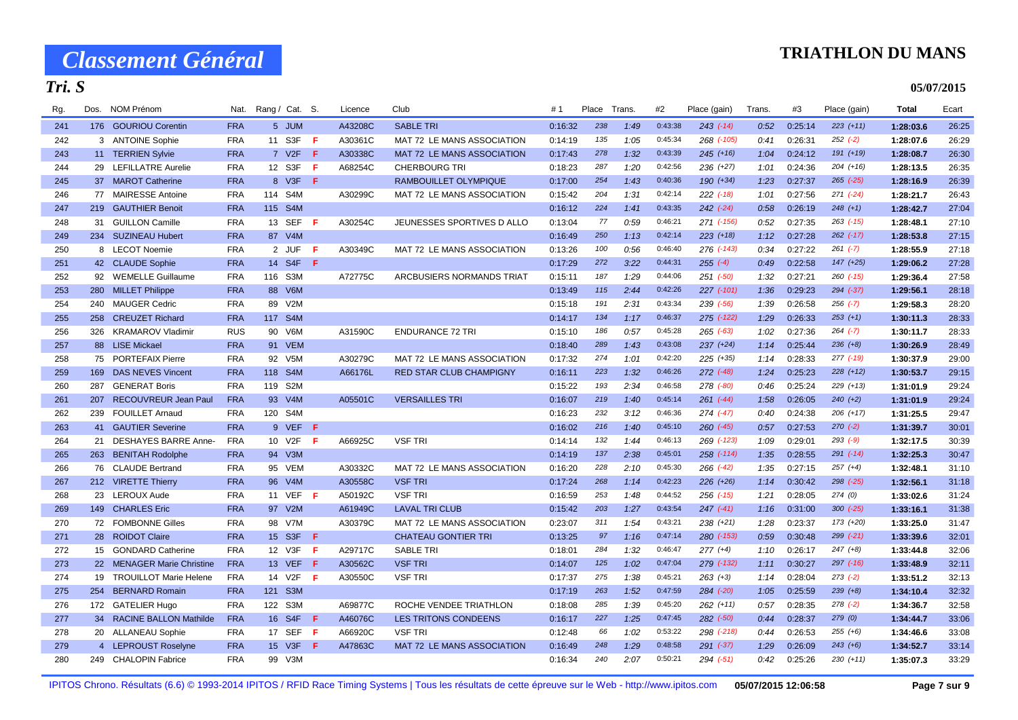#### **TRIATHLON DU MANS**

| Rg. | Dos. | <b>NOM Prénom</b>             | Nat.       | Rang / Cat. S.     |          | Licence | Club                              | #1      | Place Trans. |      | #2      | Place (gain)  | Trans. | #3      | Place (gain)  | <b>Total</b> | Ecart |
|-----|------|-------------------------------|------------|--------------------|----------|---------|-----------------------------------|---------|--------------|------|---------|---------------|--------|---------|---------------|--------------|-------|
| 241 |      | 176 GOURIOU Corentin          | <b>FRA</b> | 5 JUM              |          | A43208C | <b>SABLE TRI</b>                  | 0:16:32 | 238          | 1:49 | 0:43:38 | $243$ (-14)   | 0:52   | 0:25:14 | $223 (+11)$   | 1:28:03.6    | 26:25 |
| 242 |      | 3 ANTOINE Sophie              | <b>FRA</b> | 11 S3F             | - F      | A30361C | MAT 72 LE MANS ASSOCIATION        | 0:14:19 | 135          | 1:05 | 0:45:34 | 268 (-105)    | 0:41   | 0:26:31 | $252 (-2)$    | 1:28:07.6    | 26:29 |
| 243 |      | 11 TERRIEN Sylvie             | <b>FRA</b> | 7 V <sub>2</sub> F | -F.      | A30338C | <b>MAT 72 LE MANS ASSOCIATION</b> | 0:17:43 | 278          | 1:32 | 0:43:39 | $245 (+16)$   | 1:04   | 0:24:12 | 191 (+19)     | 1:28:08.7    | 26:30 |
| 244 |      | 29 LEFILLATRE Aurelie         | <b>FRA</b> | 12 S3F             | -F       | A68254C | <b>CHERBOURG TRI</b>              | 0:18:23 | 287          | 1:20 | 0:42:56 | 236 (+27)     | 1:01   | 0:24:36 | $204 (+16)$   | 1:28:13.5    | 26:35 |
| 245 |      | 37 MAROT Catherine            | <b>FRA</b> | 8 V3F              | - F      |         | RAMBOUILLET OLYMPIQUE             | 0:17:00 | 254          | 1:43 | 0:40:36 | $190 (+34)$   | 1:23   | 0:27:37 | $265$ $(-25)$ | 1:28:16.9    | 26:39 |
| 246 |      | 77 MAIRESSE Antoine           | <b>FRA</b> | 114 S4M            |          | A30299C | MAT 72 LE MANS ASSOCIATION        | 0:15:42 | 204          | 1:31 | 0:42:14 | $222$ (-18)   | 1:01   | 0:27:56 | $271 (-24)$   | 1:28:21.7    | 26:43 |
| 247 |      | 219 GAUTHIER Benoit           | <b>FRA</b> | 115 S4M            |          |         |                                   | 0:16:12 | 224          | 1:41 | 0:43:35 | $242$ $(-24)$ | 0:58   | 0:26:19 | $248 (+1)$    | 1:28:42.7    | 27:04 |
| 248 |      | 31 GUILLON Camille            | <b>FRA</b> | 13 SEF             | -F.      | A30254C | JEUNESSES SPORTIVES D ALLO        | 0:13:04 | 77           | 0:59 | 0:46:21 | 271 (-156)    | 0:52   | 0:27:35 | $263$ (-15)   | 1:28:48.1    | 27:10 |
| 249 |      | 234 SUZINEAU Hubert           | <b>FRA</b> | 87 V4M             |          |         |                                   | 0:16:49 | 250          | 1:13 | 0:42:14 | $223 (+18)$   | 1:12   | 0:27:28 | $262$ $(-17)$ | 1:28:53.8    | 27:15 |
| 250 |      | 8 LECOT Noemie                | <b>FRA</b> | 2 JUF              | -F.      | A30349C | MAT 72 LE MANS ASSOCIATION        | 0:13:26 | 100          | 0:56 | 0:46:40 | 276 (-143)    | 0:34   | 0:27:22 | $261 (-7)$    | 1:28:55.9    | 27:18 |
| 251 |      | 42 CLAUDE Sophie              | <b>FRA</b> | 14 S4F             | - F      |         |                                   | 0:17:29 | 272          | 3:22 | 0:44:31 | $255 (-4)$    | 0:49   | 0:22:58 | 147 (+25)     | 1:29:06.2    | 27:28 |
| 252 |      | 92 WEMELLE Guillaume          | <b>FRA</b> | 116 S3M            |          | A72775C | ARCBUSIERS NORMANDS TRIAT         | 0:15:11 | 187          | 1:29 | 0:44:06 | $251$ $(-50)$ | 1:32   | 0:27:21 | $260$ $(-15)$ | 1:29:36.4    | 27:58 |
| 253 |      | 280 MILLET Philippe           | <b>FRA</b> | 88 V6M             |          |         |                                   | 0:13:49 | 115          | 2:44 | 0:42:26 | 227 (-101)    | 1:36   | 0:29:23 | $294 (-37)$   | 1:29:56.1    | 28:18 |
| 254 |      | 240 MAUGER Cedric             | <b>FRA</b> | 89 V2M             |          |         |                                   | 0:15:18 | 191          | 2:31 | 0:43:34 | 239 (-56)     | 1:39   | 0:26:58 | $256$ (-7)    | 1:29:58.3    | 28:20 |
| 255 | 258  | <b>CREUZET Richard</b>        | <b>FRA</b> | 117 S4M            |          |         |                                   | 0:14:17 | 134          | 1:17 | 0:46:37 | 275 (-122)    | 1:29   | 0:26:33 | $253 (+1)$    | 1:30:11.3    | 28:33 |
| 256 | 326  | <b>KRAMAROV Vladimir</b>      | <b>RUS</b> | 90 V6M             |          | A31590C | <b>ENDURANCE 72 TRI</b>           | 0:15:10 | 186          | 0:57 | 0:45:28 | $265$ $(-63)$ | 1:02   | 0:27:36 | $264 (-7)$    | 1:30:11.7    | 28:33 |
| 257 |      | 88 LISE Mickael               | <b>FRA</b> | 91 VEM             |          |         |                                   | 0:18:40 | 289          | 1:43 | 0:43:08 | $237 (+24)$   | 1:14   | 0:25:44 | $236 (+8)$    | 1:30:26.9    | 28:49 |
| 258 |      | 75 PORTEFAIX Pierre           | <b>FRA</b> | 92 V5M             |          | A30279C | MAT 72 LE MANS ASSOCIATION        | 0:17:32 | 274          | 1:01 | 0:42:20 | $225 (+35)$   | 1:14   | 0:28:33 | $277$ $(-19)$ | 1:30:37.9    | 29:00 |
| 259 |      | 169 DAS NEVES Vincent         | <b>FRA</b> | 118 S4M            |          | A66176L | <b>RED STAR CLUB CHAMPIGNY</b>    | 0:16:11 | 223          | 1:32 | 0:46:26 | 272 (-48)     | 1:24   | 0:25:23 | $228 (+12)$   | 1:30:53.7    | 29:15 |
| 260 | 287  | <b>GENERAT Boris</b>          | <b>FRA</b> | 119 S2M            |          |         |                                   | 0:15:22 | 193          | 2:34 | 0:46:58 | 278 (-80)     | 0:46   | 0:25:24 | $229 (+13)$   | 1:31:01.9    | 29:24 |
| 261 | 207  | <b>RECOUVREUR Jean Paul</b>   | <b>FRA</b> | 93 V4M             |          | A05501C | <b>VERSAILLES TRI</b>             | 0:16:07 | 219          | 1:40 | 0:45:14 | $261$ (-44)   | 1:58   | 0:26:05 | $240 (+2)$    | 1:31:01.9    | 29:24 |
| 262 | 239  | <b>FOUILLET Arnaud</b>        | <b>FRA</b> | 120 S4M            |          |         |                                   | 0:16:23 | 232          | 3:12 | 0:46:36 | $274 (+47)$   | 0:40   | 0:24:38 | $206 (+17)$   | 1:31:25.5    | 29:47 |
| 263 |      | 41 GAUTIER Severine           | <b>FRA</b> | 9 VEF              | -F       |         |                                   | 0:16:02 | 216          | 1:40 | 0:45:10 | 260 (-45)     | 0:57   | 0:27:53 | $270(-2)$     | 1:31:39.7    | 30:01 |
| 264 | 21   | <b>DESHAYES BARRE Anne-</b>   | <b>FRA</b> | 10 V2F             | -F       | A66925C | <b>VSF TRI</b>                    | 0:14:14 | 132          | 1:44 | 0:46:13 | 269 (-123)    | 1:09   | 0:29:01 | $293 (-9)$    | 1:32:17.5    | 30:39 |
| 265 |      | 263 BENITAH Rodolphe          | <b>FRA</b> | 94 V3M             |          |         |                                   | 0:14:19 | 137          | 2:38 | 0:45:01 | 258 (-114)    | 1:35   | 0:28:55 | $291 (-14)$   | 1:32:25.3    | 30:47 |
| 266 |      | 76 CLAUDE Bertrand            | <b>FRA</b> | 95 VEM             |          | A30332C | MAT 72 LE MANS ASSOCIATION        | 0:16:20 | 228          | 2:10 | 0:45:30 | $266$ $(-42)$ | 1:35   | 0:27:15 | $257 (+4)$    | 1:32:48.1    | 31:10 |
| 267 |      | 212 VIRETTE Thierry           | <b>FRA</b> | 96 V4M             |          | A30558C | <b>VSF TRI</b>                    | 0:17:24 | 268          | 1:14 | 0:42:23 | $226 (+26)$   | 1:14   | 0:30:42 | 298 (-25)     | 1:32:56.1    | 31:18 |
| 268 | 23   | <b>LEROUX Aude</b>            | <b>FRA</b> | 11 VEF             | - F      | A50192C | <b>VSF TRI</b>                    | 0:16:59 | 253          | 1:48 | 0:44:52 | $256$ $(-15)$ | 1:21   | 0:28:05 | 274(0)        | 1:33:02.6    | 31:24 |
| 269 |      | 149 CHARLES Eric              | <b>FRA</b> | 97 V2M             |          | A61949C | <b>LAVAL TRI CLUB</b>             | 0:15:42 | 203          | 1:27 | 0:43:54 | $247$ $(-41)$ | 1:16   | 0:31:00 | $300 (-25)$   | 1:33:16.1    | 31:38 |
| 270 |      | 72 FOMBONNE Gilles            | <b>FRA</b> | 98 V7M             |          | A30379C | MAT 72 LE MANS ASSOCIATION        | 0:23:07 | 311          | 1:54 | 0:43:21 | $238 (+21)$   | 1:28   | 0:23:37 | 173 (+20)     | 1:33:25.0    | 31:47 |
| 271 |      | 28 ROIDOT Claire              | <b>FRA</b> |                    | 15 S3F F |         | <b>CHATEAU GONTIER TRI</b>        | 0:13:25 | 97           | 1:16 | 0:47:14 | 280 (-153)    | 0:59   | 0:30:48 | $299 (-21)$   | 1:33:39.6    | 32:01 |
| 272 |      | 15 GONDARD Catherine          | <b>FRA</b> | 12 V3F             | -F       | A29717C | <b>SABLE TRI</b>                  | 0:18:01 | 284          | 1:32 | 0:46:47 | $277 (+4)$    | 1:10   | 0:26:17 | $247 (+8)$    | 1:33:44.8    | 32:06 |
| 273 |      | 22 MENAGER Marie Christine    | <b>FRA</b> | 13 VEF             | -F       | A30562C | <b>VSF TRI</b>                    | 0:14:07 | 125          | 1:02 | 0:47:04 | 279 (-132)    | 1:11   | 0:30:27 | 297 (-16)     | 1:33:48.9    | 32:11 |
| 274 | 19   | <b>TROUILLOT Marie Helene</b> | <b>FRA</b> | 14 V2F             | -F       | A30550C | <b>VSF TRI</b>                    | 0:17:37 | 275          | 1:38 | 0:45:21 | $263 (+3)$    | 1:14   | 0:28:04 | $273 (-2)$    | 1:33:51.2    | 32:13 |
| 275 | 254  | <b>BERNARD Romain</b>         | <b>FRA</b> | 121 S3M            |          |         |                                   | 0:17:19 | 263          | 1:52 | 0:47:59 | 284 (-20)     | 1:05   | 0:25:59 | $239 (+8)$    | 1:34:10.4    | 32:32 |
| 276 |      | 172 GATELIER Hugo             | <b>FRA</b> | 122 S3M            |          | A69877C | ROCHE VENDEE TRIATHLON            | 0:18:08 | 285          | 1:39 | 0:45:20 | $262 (+11)$   | 0:57   | 0:28:35 | $278$ $(-2)$  | 1:34:36.7    | 32:58 |
| 277 |      | 34 RACINE BALLON Mathilde     | <b>FRA</b> | 16 S4F             | -F       | A46076C | <b>LES TRITONS CONDEENS</b>       | 0:16:17 | 227          | 1:25 | 0:47:45 | 282 (-50)     | 0:44   | 0:28:37 | 279(0)        | 1:34:44.7    | 33:06 |
| 278 |      | 20 ALLANEAU Sophie            | <b>FRA</b> | 17 SEF             | -F       | A66920C | <b>VSF TRI</b>                    | 0:12:48 | 66           | 1:02 | 0:53:22 | 298 (-218)    | 0:44   | 0:26:53 | $255(+6)$     | 1:34:46.6    | 33:08 |
| 279 |      | 4 LEPROUST Roselyne           | <b>FRA</b> | 15 V3F             | -F       | A47863C | <b>MAT 72 LE MANS ASSOCIATION</b> | 0:16:49 | 248          | 1:29 | 0:48:58 | 291 (-37)     | 1:29   | 0:26:09 | $243 (+6)$    | 1:34:52.7    | 33:14 |
| 280 |      | 249 CHALOPIN Fabrice          | <b>FRA</b> | 99 V3M             |          |         |                                   | 0:16:34 | 240          | 2:07 | 0:50:21 | 294 (-51)     | 0:42   | 0:25:26 | $230 (+11)$   | 1:35:07.3    | 33:29 |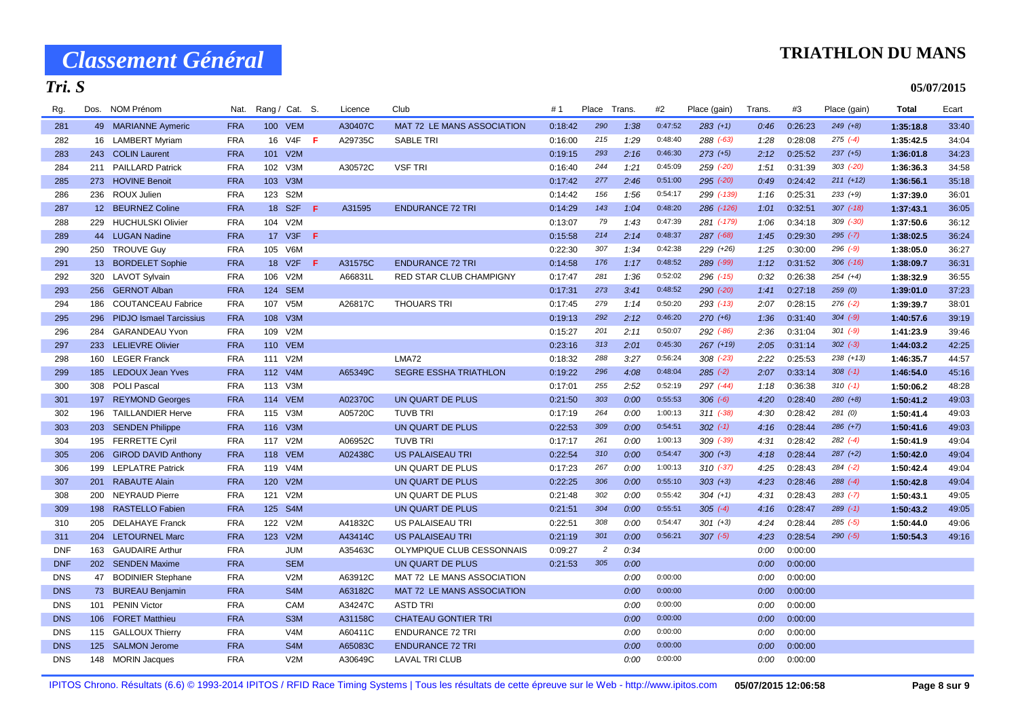#### **TRIATHLON DU MANS**

## *Tri. S*

| 05/07/2015 |  |
|------------|--|
|------------|--|

| Rg.        |     | Dos. NOM Prénom                | Nat.       | Rang / Cat. S. |                  |    | Licence | Club                              | #1      | Place          | Trans. | #2      | Place (gain)  | Trans. | #3      | Place (gain)  | <b>Total</b> | Ecart |
|------------|-----|--------------------------------|------------|----------------|------------------|----|---------|-----------------------------------|---------|----------------|--------|---------|---------------|--------|---------|---------------|--------------|-------|
| 281        |     | 49 MARIANNE Aymeric            | <b>FRA</b> |                | 100 VEM          |    | A30407C | <b>MAT 72 LE MANS ASSOCIATION</b> | 0:18:42 | 290            | 1:38   | 0:47:52 | $283 (+1)$    | 0:46   | 0:26:23 | $249 (+8)$    | 1:35:18.8    | 33:40 |
| 282        |     | 16 LAMBERT Myriam              | <b>FRA</b> |                | 16 V4F <b>F</b>  |    | A29735C | <b>SABLE TRI</b>                  | 0:16:00 | 215            | 1:29   | 0:48:40 | 288 (-63)     | 1:28   | 0:28:08 | $275$ (-4)    | 1:35:42.5    | 34:04 |
| 283        |     | 243 COLIN Laurent              | <b>FRA</b> |                | 101 V2M          |    |         |                                   | 0:19:15 | 293            | 2:16   | 0:46:30 | $273 (+5)$    | 2:12   | 0:25:52 | $237 (+5)$    | 1:36:01.8    | 34:23 |
| 284        |     | 211 PAILLARD Patrick           | <b>FRA</b> |                | 102 V3M          |    | A30572C | <b>VSF TRI</b>                    | 0:16:40 | 244            | 1:21   | 0:45:09 | 259 (-20)     | 1:51   | 0:31:39 | $303$ $(-20)$ | 1:36:36.3    | 34:58 |
| 285        | 273 | <b>HOVINE Benoit</b>           | <b>FRA</b> |                | 103 V3M          |    |         |                                   | 0:17:42 | 277            | 2:46   | 0:51:00 | 295 (-20)     | 0:49   | 0:24:42 | $211 (+12)$   | 1:36:56.1    | 35:18 |
| 286        | 236 | <b>ROUX Julien</b>             | <b>FRA</b> |                | 123 S2M          |    |         |                                   | 0:14:42 | 156            | 1:56   | 0:54:17 | 299 (-139)    | 1:16   | 0:25:31 | $233 (+9)$    | 1:37:39.0    | 36:01 |
| 287        |     | 12 BEURNEZ Coline              | <b>FRA</b> |                | 18 S2F           | F. | A31595  | <b>ENDURANCE 72 TRI</b>           | 0:14:29 | 143            | 1:04   | 0:48:20 | 286 (-126)    | 1:01   | 0:32:51 | $307$ $(-18)$ | 1:37:43.1    | 36:05 |
| 288        | 229 | <b>HUCHULSKI Olivier</b>       | <b>FRA</b> | 104 V2M        |                  |    |         |                                   | 0:13:07 | 79             | 1:43   | 0:47:39 | 281 (-179)    | 1:06   | 0:34:18 | $309$ $(-30)$ | 1:37:50.6    | 36:12 |
| 289        |     | 44 LUGAN Nadine                | <b>FRA</b> |                | 17 V3F <b>F</b>  |    |         |                                   | 0:15:58 | 214            | 2:14   | 0:48:37 | 287 (-68)     | 1:45   | 0:29:30 | $295 (-7)$    | 1:38:02.5    | 36:24 |
| 290        | 250 | <b>TROUVE Guy</b>              | <b>FRA</b> | 105            | V6N              |    |         |                                   | 0:22:30 | 307            | 1:34   | 0:42:38 | 229 (+26)     | 1:25   | 0:30:00 | $296 (-9)$    | 1:38:05.0    | 36:27 |
| 291        |     | 13 BORDELET Sophie             | <b>FRA</b> |                | 18 V2F           | F. | A31575C | <b>ENDURANCE 72 TRI</b>           | 0:14:58 | 176            | 1:17   | 0:48:52 | 289 (-99)     | 1:12   | 0:31:52 | $306$ $(-16)$ | 1:38:09.7    | 36:31 |
| 292        | 320 | <b>LAVOT Sylvain</b>           | <b>FRA</b> | 106            | V2M              |    | A66831L | RED STAR CLUB CHAMPIGNY           | 0:17:47 | 281            | 1:36   | 0:52:02 | $296$ $(-15)$ | 0:32   | 0:26:38 | $254 (+4)$    | 1:38:32.9    | 36:55 |
| 293        | 256 | <b>GERNOT Alban</b>            | <b>FRA</b> |                | 124 SEM          |    |         |                                   | 0:17:31 | 273            | 3:41   | 0:48:52 | 290 (-20)     | 1:41   | 0:27:18 | 259(0)        | 1:39:01.0    | 37:23 |
| 294        | 186 | <b>COUTANCEAU Fabrice</b>      | <b>FRA</b> |                | 107 V5M          |    | A26817C | <b>THOUARS TRI</b>                | 0:17:45 | 279            | 1:14   | 0:50:20 | $293$ (-13)   | 2:07   | 0:28:15 | $276$ $(-2)$  | 1:39:39.7    | 38:01 |
| 295        | 296 | <b>PIDJO Ismael Tarcissius</b> | <b>FRA</b> | 108            | V3M              |    |         |                                   | 0:19:13 | 292            | 2:12   | 0:46:20 | $270 (+6)$    | 1:36   | 0:31:40 | $304 (-9)$    | 1:40:57.6    | 39:19 |
| 296        | 284 | <b>GARANDEAU Yvon</b>          | <b>FRA</b> | 109            | V2M              |    |         |                                   | 0:15:27 | 201            | 2:11   | 0:50:07 | 292 (-86)     | 2:36   | 0:31:04 | $301 (-9)$    | 1:41:23.9    | 39:46 |
| 297        | 233 | <b>LELIEVRE Olivier</b>        | <b>FRA</b> | 110            | <b>VEM</b>       |    |         |                                   | 0:23:16 | 313            | 2:01   | 0:45:30 | $267 (+19)$   | 2:05   | 0:31:14 | $302 (-3)$    | 1:44:03.2    | 42:25 |
| 298        | 160 | <b>LEGER Franck</b>            | <b>FRA</b> |                | 111 V2M          |    |         | <b>LMA72</b>                      | 0:18:32 | 288            | 3:27   | 0:56:24 | $308$ $(-23)$ | 2:22   | 0:25:53 | $238 (+13)$   | 1:46:35.7    | 44:57 |
| 299        | 185 | <b>LEDOUX Jean Yves</b>        | <b>FRA</b> |                | 112 V4M          |    | A65349C | <b>SEGRE ESSHA TRIATHLON</b>      | 0:19:22 | 296            | 4:08   | 0:48:04 | $285$ $(-2)$  | 2:07   | 0:33:14 | $308 (-1)$    | 1:46:54.0    | 45:16 |
| 300        | 308 | <b>POLI Pascal</b>             | <b>FRA</b> | 113            | V3M              |    |         |                                   | 0:17:01 | 255            | 2:52   | 0:52:19 | 297 (-44)     | 1:18   | 0:36:38 | $310(-1)$     | 1:50:06.2    | 48:28 |
| 301        | 197 | <b>REYMOND Georges</b>         | <b>FRA</b> |                | 114 VEM          |    | A02370C | UN QUART DE PLUS                  | 0:21:50 | 303            | 0:00   | 0:55:53 | $306 (-6)$    | 4:20   | 0:28:40 | $280 (+8)$    | 1:50:41.2    | 49:03 |
| 302        | 196 | <b>TAILLANDIER Herve</b>       | <b>FRA</b> | 115 V3M        |                  |    | A05720C | <b>TUVB TRI</b>                   | 0:17:19 | 264            | 0:00   | 1:00:13 | $311 (-38)$   | 4:30   | 0:28:42 | 281(0)        | 1:50:41.4    | 49:03 |
| 303        |     | 203 SENDEN Philippe            | <b>FRA</b> |                | 116 V3M          |    |         | UN QUART DE PLUS                  | 0:22:53 | 309            | 0:00   | 0:54:51 | $302 (-1)$    | 4:16   | 0:28:44 | $286 (+7)$    | 1:50:41.6    | 49:03 |
| 304        | 195 | <b>FERRETTE Cyril</b>          | <b>FRA</b> |                | 117 V2M          |    | A06952C | <b>TUVB TRI</b>                   | 0:17:17 | 261            | 0:00   | 1:00:13 | $309$ $(-39)$ | 4:31   | 0:28:42 | $282 (-4)$    | 1:50:41.9    | 49:04 |
| 305        | 206 | <b>GIROD DAVID Anthony</b>     | <b>FRA</b> |                | 118 VEM          |    | A02438C | <b>US PALAISEAU TRI</b>           | 0:22:54 | 310            | 0:00   | 0:54:47 | $300 (+3)$    | 4:18   | 0:28:44 | $287 (+2)$    | 1:50:42.0    | 49:04 |
| 306        | 199 | <b>LEPLATRE Patrick</b>        | <b>FRA</b> | 119 V4M        |                  |    |         | UN QUART DE PLUS                  | 0:17:23 | 267            | 0:00   | 1:00:13 | $310(-37)$    | 4:25   | 0:28:43 | $284 (-2)$    | 1:50:42.4    | 49:04 |
| 307        | 201 | <b>RABAUTE Alain</b>           | <b>FRA</b> | 120            | V2M              |    |         | UN QUART DE PLUS                  | 0:22:25 | 306            | 0:00   | 0:55:10 | $303 (+3)$    | 4:23   | 0:28:46 | $288 (-4)$    | 1:50:42.8    | 49:04 |
| 308        | 200 | NEYRAUD Pierre                 | <b>FRA</b> | 121            | V2M              |    |         | UN QUART DE PLUS                  | 0:21:48 | 302            | 0:00   | 0:55:42 | $304 (+1)$    | 4:31   | 0:28:43 | $283 (-7)$    | 1:50:43.1    | 49:05 |
| 309        | 198 | RASTELLO Fabien                | <b>FRA</b> | 125            | S <sub>4</sub> M |    |         | UN QUART DE PLUS                  | 0:21:51 | 304            | 0:00   | 0:55:51 | $305 (-4)$    | 4:16   | 0:28:47 | $289 (-1)$    | 1:50:43.2    | 49:05 |
| 310        | 205 | <b>DELAHAYE Franck</b>         | <b>FRA</b> |                | 122 V2M          |    | A41832C | US PALAISEAU TRI                  | 0:22:51 | 308            | 0:00   | 0:54:47 | $301 (+3)$    | 4:24   | 0:28:44 | $285$ $(-5)$  | 1:50:44.0    | 49:06 |
| 311        |     | 204 LETOURNEL Marc             | <b>FRA</b> |                | 123 V2M          |    | A43414C | US PALAISEAU TRI                  | 0:21:19 | 301            | 0:00   | 0:56:21 | $307$ $(-5)$  | 4:23   | 0:28:54 | $290 (-5)$    | 1:50:54.3    | 49:16 |
| <b>DNF</b> |     | 163 GAUDAIRE Arthur            | <b>FRA</b> |                | <b>JUM</b>       |    | A35463C | OLYMPIQUE CLUB CESSONNAIS         | 0:09:27 | $\overline{c}$ | 0:34   |         |               | 0:00   | 0:00:00 |               |              |       |
| <b>DNF</b> |     | 202 SENDEN Maxime              | <b>FRA</b> |                | <b>SEM</b>       |    |         | UN QUART DE PLUS                  | 0:21:53 | 305            | 0:00   |         |               | 0:00   | 0:00:00 |               |              |       |
| <b>DNS</b> |     | 47 BODINIER Stephane           | <b>FRA</b> |                | V2M              |    | A63912C | MAT 72 LE MANS ASSOCIATION        |         |                | 0:00   | 0:00:00 |               | 0:00   | 0:00:00 |               |              |       |
| <b>DNS</b> |     | 73 BUREAU Benjamin             | <b>FRA</b> |                | S <sub>4</sub> M |    | A63182C | MAT 72 LE MANS ASSOCIATION        |         |                | 0:00   | 0:00:00 |               | 0:00   | 0:00:00 |               |              |       |
| <b>DNS</b> | 101 | <b>PENIN Victor</b>            | <b>FRA</b> |                | CAM              |    | A34247C | <b>ASTD TRI</b>                   |         |                | 0:00   | 0:00:00 |               | 0:00   | 0:00:00 |               |              |       |
| <b>DNS</b> | 106 | <b>FORET Matthieu</b>          | <b>FRA</b> |                | S <sub>3</sub> M |    | A31158C | <b>CHATEAU GONTIER TRI</b>        |         |                | 0:00   | 0:00:00 |               | 0:00   | 0:00:00 |               |              |       |
| <b>DNS</b> |     | 115 GALLOUX Thierry            | <b>FRA</b> |                | V <sub>4</sub> M |    | A60411C | <b>ENDURANCE 72 TRI</b>           |         |                | 0:00   | 0:00:00 |               | 0:00   | 0:00:00 |               |              |       |
| <b>DNS</b> | 125 | <b>SALMON Jerome</b>           | <b>FRA</b> |                | S <sub>4</sub> M |    | A65083C | <b>ENDURANCE 72 TRI</b>           |         |                | 0:00   | 0:00:00 |               | 0:00   | 0:00:00 |               |              |       |
| <b>DNS</b> |     | 148 MORIN Jacques              | <b>FRA</b> |                | V2M              |    | A30649C | <b>LAVAL TRI CLUB</b>             |         |                | 0:00   | 0:00:00 |               | 0:00   | 0:00:00 |               |              |       |

IPITOS Chrono. Résultats (6.6) © 1993-2014 IPITOS / RFID Race Timing Systems | Tous les résultats de cette épreuve sur le Web - http://www.ipitos.com **05/07/2015 12:06:58 Page 8 sur 9**